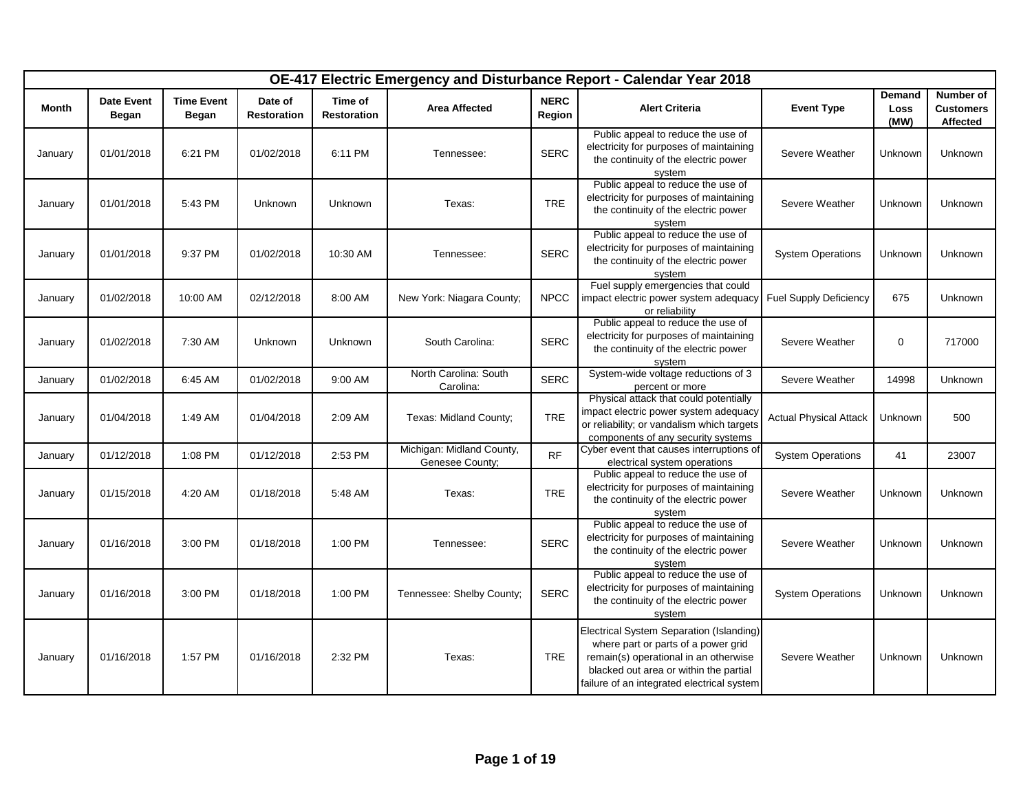|         |                            |                            |                               |                               |                                              |                       | OE-417 Electric Emergency and Disturbance Report - Calendar Year 2018                                                                                                                                            |                               |                        |                                                  |
|---------|----------------------------|----------------------------|-------------------------------|-------------------------------|----------------------------------------------|-----------------------|------------------------------------------------------------------------------------------------------------------------------------------------------------------------------------------------------------------|-------------------------------|------------------------|--------------------------------------------------|
| Month   | <b>Date Event</b><br>Began | <b>Time Event</b><br>Began | Date of<br><b>Restoration</b> | Time of<br><b>Restoration</b> | <b>Area Affected</b>                         | <b>NERC</b><br>Region | <b>Alert Criteria</b>                                                                                                                                                                                            | <b>Event Type</b>             | Demand<br>Loss<br>(MW) | Number of<br><b>Customers</b><br><b>Affected</b> |
| January | 01/01/2018                 | 6:21 PM                    | 01/02/2018                    | 6:11 PM                       | Tennessee:                                   | <b>SERC</b>           | Public appeal to reduce the use of<br>electricity for purposes of maintaining<br>the continuity of the electric power<br>system                                                                                  | Severe Weather                | Unknown                | Unknown                                          |
| January | 01/01/2018                 | 5:43 PM                    | Unknown                       | Unknown                       | Texas:                                       | <b>TRE</b>            | Public appeal to reduce the use of<br>electricity for purposes of maintaining<br>the continuity of the electric power<br>system                                                                                  | Severe Weather                | Unknown                | Unknown                                          |
| January | 01/01/2018                 | 9:37 PM                    | 01/02/2018                    | 10:30 AM                      | Tennessee:                                   | <b>SERC</b>           | Public appeal to reduce the use of<br>electricity for purposes of maintaining<br>the continuity of the electric power<br>system                                                                                  | <b>System Operations</b>      | Unknown                | <b>Unknown</b>                                   |
| January | 01/02/2018                 | 10:00 AM                   | 02/12/2018                    | 8:00 AM                       | New York: Niagara County;                    | <b>NPCC</b>           | Fuel supply emergencies that could<br>impact electric power system adequacy<br>or reliability                                                                                                                    | <b>Fuel Supply Deficiency</b> | 675                    | <b>Unknown</b>                                   |
| January | 01/02/2018                 | 7:30 AM                    | Unknown                       | <b>Unknown</b>                | South Carolina:                              | <b>SERC</b>           | Public appeal to reduce the use of<br>electricity for purposes of maintaining<br>the continuity of the electric power<br>system                                                                                  | Severe Weather                | $\mathbf 0$            | 717000                                           |
| January | 01/02/2018                 | 6:45 AM                    | 01/02/2018                    | 9:00 AM                       | North Carolina: South<br>Carolina:           | <b>SERC</b>           | System-wide voltage reductions of 3<br>percent or more                                                                                                                                                           | Severe Weather                | 14998                  | Unknown                                          |
| January | 01/04/2018                 | 1:49 AM                    | 01/04/2018                    | 2:09 AM                       | Texas: Midland County;                       | <b>TRE</b>            | Physical attack that could potentially<br>impact electric power system adequacy<br>or reliability; or vandalism which targets<br>components of any security systems                                              | <b>Actual Physical Attack</b> | Unknown                | 500                                              |
| January | 01/12/2018                 | 1:08 PM                    | 01/12/2018                    | 2:53 PM                       | Michigan: Midland County,<br>Genesee County; | <b>RF</b>             | Cyber event that causes interruptions of<br>electrical system operations                                                                                                                                         | <b>System Operations</b>      | 41                     | 23007                                            |
| January | 01/15/2018                 | 4:20 AM                    | 01/18/2018                    | 5:48 AM                       | Texas:                                       | <b>TRE</b>            | Public appeal to reduce the use of<br>electricity for purposes of maintaining<br>the continuity of the electric power<br>system                                                                                  | Severe Weather                | Unknown                | Unknown                                          |
| January | 01/16/2018                 | 3:00 PM                    | 01/18/2018                    | 1:00 PM                       | Tennessee:                                   | <b>SERC</b>           | Public appeal to reduce the use of<br>electricity for purposes of maintaining<br>the continuity of the electric power<br>system                                                                                  | Severe Weather                | Unknown                | <b>Unknown</b>                                   |
| January | 01/16/2018                 | 3:00 PM                    | 01/18/2018                    | 1:00 PM                       | Tennessee: Shelby County;                    | <b>SERC</b>           | Public appeal to reduce the use of<br>electricity for purposes of maintaining<br>the continuity of the electric power<br>svstem                                                                                  | <b>System Operations</b>      | Unknown                | <b>Unknown</b>                                   |
| January | 01/16/2018                 | 1:57 PM                    | 01/16/2018                    | 2:32 PM                       | Texas:                                       | <b>TRE</b>            | Electrical System Separation (Islanding)<br>where part or parts of a power grid<br>remain(s) operational in an otherwise<br>blacked out area or within the partial<br>failure of an integrated electrical system | Severe Weather                | Unknown                | <b>Unknown</b>                                   |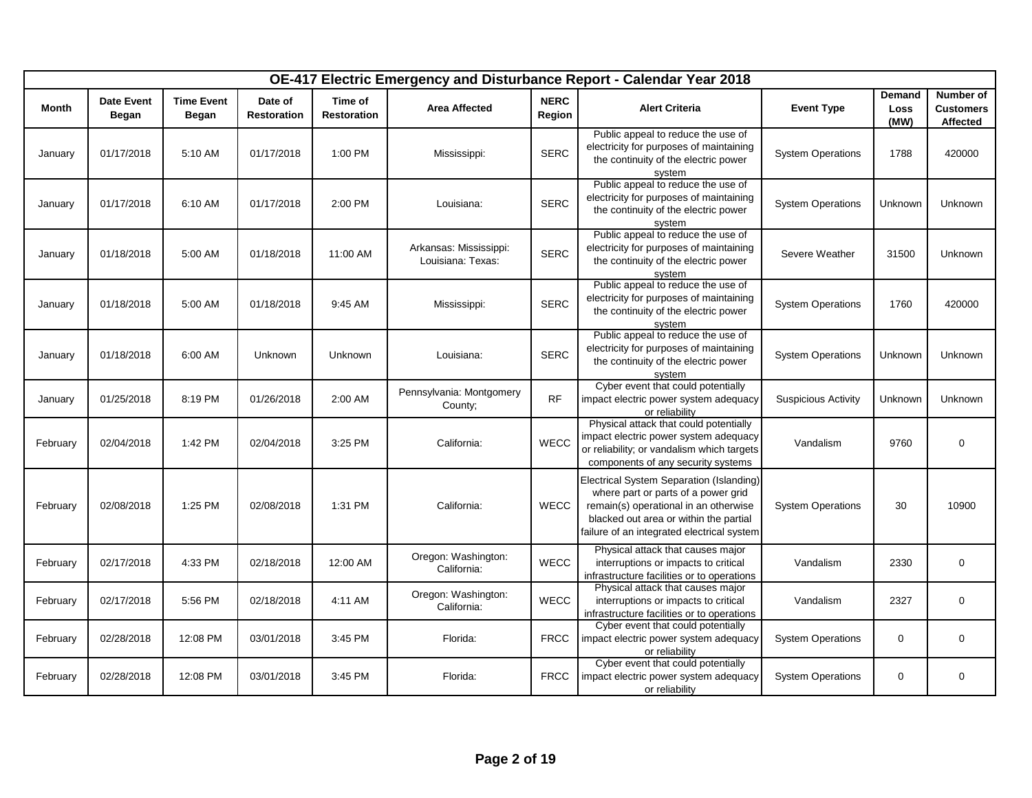|          |                                   |                            |                               |                               |                                             |                       | OE-417 Electric Emergency and Disturbance Report - Calendar Year 2018                                                                                                                                            |                            |                               |                                           |
|----------|-----------------------------------|----------------------------|-------------------------------|-------------------------------|---------------------------------------------|-----------------------|------------------------------------------------------------------------------------------------------------------------------------------------------------------------------------------------------------------|----------------------------|-------------------------------|-------------------------------------------|
| Month    | <b>Date Event</b><br><b>Began</b> | <b>Time Event</b><br>Began | Date of<br><b>Restoration</b> | Time of<br><b>Restoration</b> | <b>Area Affected</b>                        | <b>NERC</b><br>Region | <b>Alert Criteria</b>                                                                                                                                                                                            | <b>Event Type</b>          | <b>Demand</b><br>Loss<br>(MW) | Number of<br><b>Customers</b><br>Affected |
| January  | 01/17/2018                        | 5:10 AM                    | 01/17/2018                    | 1:00 PM                       | Mississippi:                                | <b>SERC</b>           | Public appeal to reduce the use of<br>electricity for purposes of maintaining<br>the continuity of the electric power<br>system                                                                                  | <b>System Operations</b>   | 1788                          | 420000                                    |
| January  | 01/17/2018                        | 6:10 AM                    | 01/17/2018                    | 2:00 PM                       | Louisiana:                                  | <b>SERC</b>           | Public appeal to reduce the use of<br>electricity for purposes of maintaining<br>the continuity of the electric power<br>system                                                                                  | <b>System Operations</b>   | Unknown                       | Unknown                                   |
| January  | 01/18/2018                        | 5:00 AM                    | 01/18/2018                    | 11:00 AM                      | Arkansas: Mississippi:<br>Louisiana: Texas: | <b>SERC</b>           | Public appeal to reduce the use of<br>electricity for purposes of maintaining<br>the continuity of the electric power<br>system                                                                                  | Severe Weather             | 31500                         | Unknown                                   |
| January  | 01/18/2018                        | 5:00 AM                    | 01/18/2018                    | 9:45 AM                       | Mississippi:                                | <b>SERC</b>           | Public appeal to reduce the use of<br>electricity for purposes of maintaining<br>the continuity of the electric power<br>system                                                                                  | <b>System Operations</b>   | 1760                          | 420000                                    |
| January  | 01/18/2018                        | 6:00 AM                    | Unknown                       | Unknown                       | Louisiana:                                  | <b>SERC</b>           | Public appeal to reduce the use of<br>electricity for purposes of maintaining<br>the continuity of the electric power<br>system                                                                                  | <b>System Operations</b>   | Unknown                       | Unknown                                   |
| January  | 01/25/2018                        | 8:19 PM                    | 01/26/2018                    | 2:00 AM                       | Pennsylvania: Montgomery<br>County;         | RF                    | Cyber event that could potentially<br>impact electric power system adequacy<br>or reliability                                                                                                                    | <b>Suspicious Activity</b> | Unknown                       | Unknown                                   |
| February | 02/04/2018                        | 1:42 PM                    | 02/04/2018                    | 3:25 PM                       | California:                                 | WECC                  | Physical attack that could potentially<br>impact electric power system adequacy<br>or reliability; or vandalism which targets<br>components of any security systems                                              | Vandalism                  | 9760                          | $\mathbf 0$                               |
| February | 02/08/2018                        | 1:25 PM                    | 02/08/2018                    | 1:31 PM                       | California:                                 | <b>WECC</b>           | Electrical System Separation (Islanding)<br>where part or parts of a power grid<br>remain(s) operational in an otherwise<br>blacked out area or within the partial<br>failure of an integrated electrical system | <b>System Operations</b>   | 30                            | 10900                                     |
| February | 02/17/2018                        | 4:33 PM                    | 02/18/2018                    | 12:00 AM                      | Oregon: Washington:<br>California:          | WECC                  | Physical attack that causes major<br>interruptions or impacts to critical<br>infrastructure facilities or to operations                                                                                          | Vandalism                  | 2330                          | 0                                         |
| February | 02/17/2018                        | 5:56 PM                    | 02/18/2018                    | 4:11 AM                       | Oregon: Washington:<br>California:          | WECC                  | Physical attack that causes major<br>interruptions or impacts to critical<br>infrastructure facilities or to operations                                                                                          | Vandalism                  | 2327                          | $\mathbf 0$                               |
| February | 02/28/2018                        | 12:08 PM                   | 03/01/2018                    | 3:45 PM                       | Florida:                                    | <b>FRCC</b>           | Cyber event that could potentially<br>impact electric power system adequacy<br>or reliability                                                                                                                    | <b>System Operations</b>   | $\mathbf 0$                   | 0                                         |
| February | 02/28/2018                        | 12:08 PM                   | 03/01/2018                    | 3:45 PM                       | Florida:                                    | <b>FRCC</b>           | Cyber event that could potentially<br>impact electric power system adequacy<br>or reliability                                                                                                                    | <b>System Operations</b>   | $\mathbf 0$                   | $\mathbf 0$                               |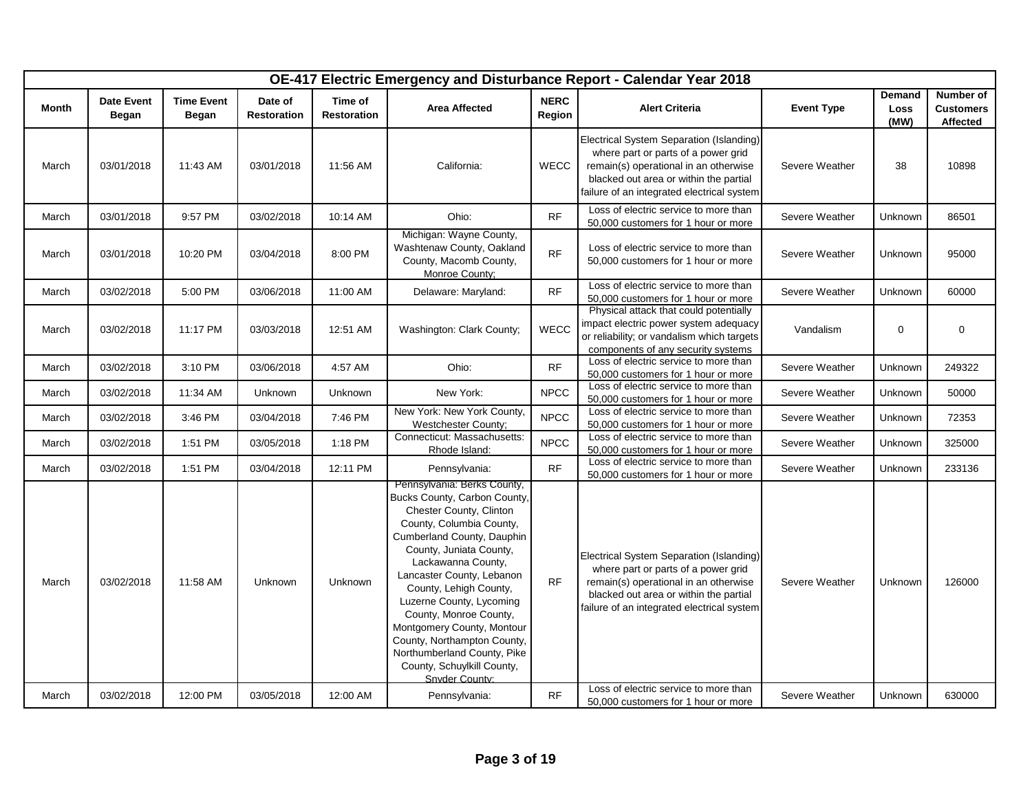| OE-417 Electric Emergency and Disturbance Report - Calendar Year 2018<br><b>Demand</b><br><b>NERC</b><br><b>Date Event</b><br><b>Time Event</b><br>Date of<br>Time of<br><b>Area Affected</b><br><b>Alert Criteria</b><br><b>Month</b><br><b>Event Type</b><br>Loss<br>Region<br>Began<br><b>Began</b><br><b>Restoration</b><br><b>Restoration</b><br>(MW) |            |          |            |          |                                                                                                                                                                                                                                                                                                                                                                                                                                                            |             |                                                                                                                                                                                                                  |                |             |                                           |
|------------------------------------------------------------------------------------------------------------------------------------------------------------------------------------------------------------------------------------------------------------------------------------------------------------------------------------------------------------|------------|----------|------------|----------|------------------------------------------------------------------------------------------------------------------------------------------------------------------------------------------------------------------------------------------------------------------------------------------------------------------------------------------------------------------------------------------------------------------------------------------------------------|-------------|------------------------------------------------------------------------------------------------------------------------------------------------------------------------------------------------------------------|----------------|-------------|-------------------------------------------|
|                                                                                                                                                                                                                                                                                                                                                            |            |          |            |          |                                                                                                                                                                                                                                                                                                                                                                                                                                                            |             |                                                                                                                                                                                                                  |                |             | Number of<br><b>Customers</b><br>Affected |
| March                                                                                                                                                                                                                                                                                                                                                      | 03/01/2018 | 11:43 AM | 03/01/2018 | 11:56 AM | California:                                                                                                                                                                                                                                                                                                                                                                                                                                                | WECC        | Electrical System Separation (Islanding)<br>where part or parts of a power grid<br>remain(s) operational in an otherwise<br>blacked out area or within the partial<br>failure of an integrated electrical system | Severe Weather | 38          | 10898                                     |
| March                                                                                                                                                                                                                                                                                                                                                      | 03/01/2018 | 9:57 PM  | 03/02/2018 | 10:14 AM | Ohio:                                                                                                                                                                                                                                                                                                                                                                                                                                                      | RF          | Loss of electric service to more than<br>50,000 customers for 1 hour or more                                                                                                                                     | Severe Weather | Unknown     | 86501                                     |
| March                                                                                                                                                                                                                                                                                                                                                      | 03/01/2018 | 10:20 PM | 03/04/2018 | 8:00 PM  | Michigan: Wayne County,<br>Washtenaw County, Oakland<br>County, Macomb County,<br>Monroe County;                                                                                                                                                                                                                                                                                                                                                           | RF          | Loss of electric service to more than<br>50,000 customers for 1 hour or more                                                                                                                                     | Severe Weather | Unknown     | 95000                                     |
| March                                                                                                                                                                                                                                                                                                                                                      | 03/02/2018 | 5:00 PM  | 03/06/2018 | 11:00 AM | Delaware: Maryland:                                                                                                                                                                                                                                                                                                                                                                                                                                        | RF          | Loss of electric service to more than<br>50,000 customers for 1 hour or more                                                                                                                                     | Severe Weather | Unknown     | 60000                                     |
| March                                                                                                                                                                                                                                                                                                                                                      | 03/02/2018 | 11:17 PM | 03/03/2018 | 12:51 AM | Washington: Clark County;                                                                                                                                                                                                                                                                                                                                                                                                                                  | <b>WECC</b> | Physical attack that could potentially<br>impact electric power system adequacy<br>or reliability; or vandalism which targets<br>components of any security systems                                              | Vandalism      | $\mathbf 0$ | $\mathbf 0$                               |
| March                                                                                                                                                                                                                                                                                                                                                      | 03/02/2018 | 3:10 PM  | 03/06/2018 | 4:57 AM  | Ohio:                                                                                                                                                                                                                                                                                                                                                                                                                                                      | RF          | Loss of electric service to more than<br>50,000 customers for 1 hour or more                                                                                                                                     | Severe Weather | Unknown     | 249322                                    |
| March                                                                                                                                                                                                                                                                                                                                                      | 03/02/2018 | 11:34 AM | Unknown    | Unknown  | New York:                                                                                                                                                                                                                                                                                                                                                                                                                                                  | <b>NPCC</b> | Loss of electric service to more than<br>50,000 customers for 1 hour or more                                                                                                                                     | Severe Weather | Unknown     | 50000                                     |
| March                                                                                                                                                                                                                                                                                                                                                      | 03/02/2018 | 3:46 PM  | 03/04/2018 | 7:46 PM  | New York: New York County,<br><b>Westchester County:</b>                                                                                                                                                                                                                                                                                                                                                                                                   | <b>NPCC</b> | Loss of electric service to more than<br>50,000 customers for 1 hour or more                                                                                                                                     | Severe Weather | Unknown     | 72353                                     |
| March                                                                                                                                                                                                                                                                                                                                                      | 03/02/2018 | 1:51 PM  | 03/05/2018 | 1:18 PM  | Connecticut: Massachusetts:<br>Rhode Island:                                                                                                                                                                                                                                                                                                                                                                                                               | <b>NPCC</b> | Loss of electric service to more than<br>50,000 customers for 1 hour or more                                                                                                                                     | Severe Weather | Unknown     | 325000                                    |
| March                                                                                                                                                                                                                                                                                                                                                      | 03/02/2018 | 1:51 PM  | 03/04/2018 | 12:11 PM | Pennsylvania:                                                                                                                                                                                                                                                                                                                                                                                                                                              | <b>RF</b>   | Loss of electric service to more than<br>50,000 customers for 1 hour or more                                                                                                                                     | Severe Weather | Unknown     | 233136                                    |
| March                                                                                                                                                                                                                                                                                                                                                      | 03/02/2018 | 11:58 AM | Unknown    | Unknown  | Pennsylvania: Berks County,<br>Bucks County, Carbon County,<br>Chester County, Clinton<br>County, Columbia County,<br>Cumberland County, Dauphin<br>County, Juniata County,<br>Lackawanna County,<br>Lancaster County, Lebanon<br>County, Lehigh County,<br>Luzerne County, Lycoming<br>County, Monroe County,<br>Montgomery County, Montour<br>County, Northampton County,<br>Northumberland County, Pike<br>County, Schuylkill County,<br>Snyder County: | RF          | Electrical System Separation (Islanding)<br>where part or parts of a power grid<br>remain(s) operational in an otherwise<br>blacked out area or within the partial<br>failure of an integrated electrical system | Severe Weather | Unknown     | 126000                                    |
| March                                                                                                                                                                                                                                                                                                                                                      | 03/02/2018 | 12:00 PM | 03/05/2018 | 12:00 AM | Pennsylvania:                                                                                                                                                                                                                                                                                                                                                                                                                                              | <b>RF</b>   | Loss of electric service to more than<br>50,000 customers for 1 hour or more                                                                                                                                     | Severe Weather | Unknown     | 630000                                    |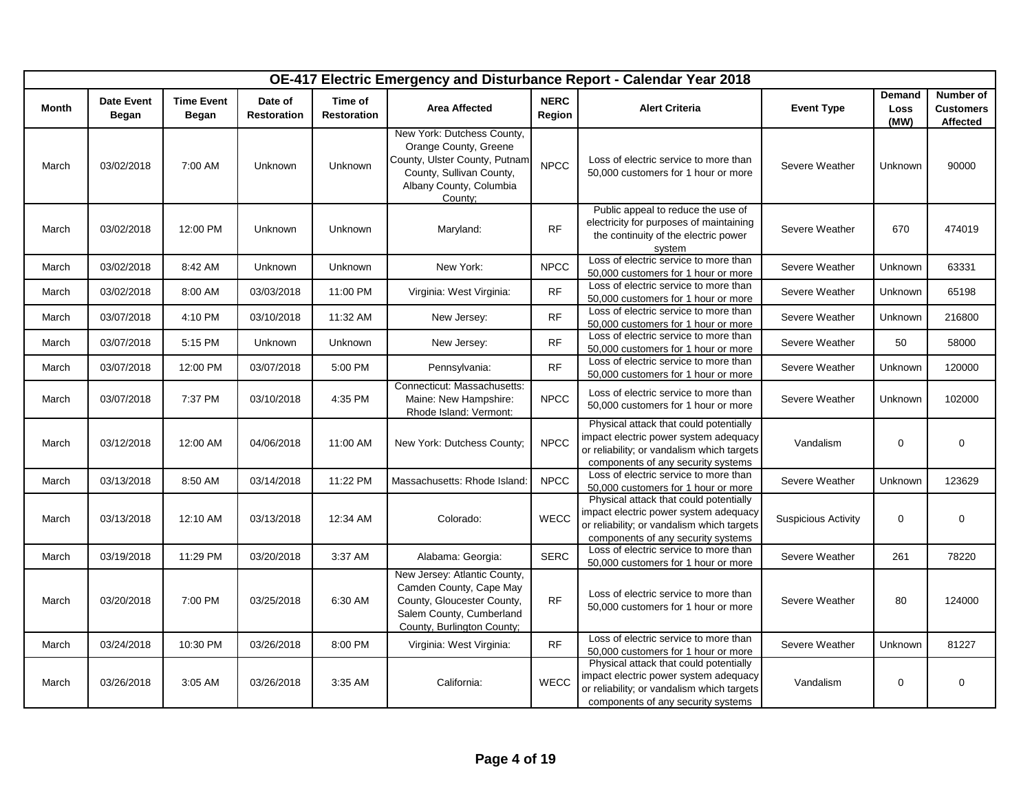|       |                            |                            |                               |                               |                                                                                                                                                        |                       | OE-417 Electric Emergency and Disturbance Report - Calendar Year 2018                                                                                               |                            |                               |                                           |
|-------|----------------------------|----------------------------|-------------------------------|-------------------------------|--------------------------------------------------------------------------------------------------------------------------------------------------------|-----------------------|---------------------------------------------------------------------------------------------------------------------------------------------------------------------|----------------------------|-------------------------------|-------------------------------------------|
| Month | <b>Date Event</b><br>Began | <b>Time Event</b><br>Began | Date of<br><b>Restoration</b> | Time of<br><b>Restoration</b> | <b>Area Affected</b>                                                                                                                                   | <b>NERC</b><br>Region | <b>Alert Criteria</b>                                                                                                                                               | <b>Event Type</b>          | <b>Demand</b><br>Loss<br>(MW) | Number of<br><b>Customers</b><br>Affected |
| March | 03/02/2018                 | 7:00 AM                    | Unknown                       | Unknown                       | New York: Dutchess County,<br>Orange County, Greene<br>County, Ulster County, Putnam<br>County, Sullivan County,<br>Albany County, Columbia<br>County; | <b>NPCC</b>           | Loss of electric service to more than<br>50,000 customers for 1 hour or more                                                                                        | Severe Weather             | Unknown                       | 90000                                     |
| March | 03/02/2018                 | 12:00 PM                   | Unknown                       | Unknown                       | Maryland:                                                                                                                                              | <b>RF</b>             | Public appeal to reduce the use of<br>electricity for purposes of maintaining<br>the continuity of the electric power<br>svstem                                     | Severe Weather             | 670                           | 474019                                    |
| March | 03/02/2018                 | 8:42 AM                    | Unknown                       | Unknown                       | New York:                                                                                                                                              | <b>NPCC</b>           | Loss of electric service to more than<br>50,000 customers for 1 hour or more                                                                                        | Severe Weather             | Unknown                       | 63331                                     |
| March | 03/02/2018                 | 8:00 AM                    | 03/03/2018                    | 11:00 PM                      | Virginia: West Virginia:                                                                                                                               | <b>RF</b>             | Loss of electric service to more than<br>50,000 customers for 1 hour or more                                                                                        | Severe Weather             | Unknown                       | 65198                                     |
| March | 03/07/2018                 | 4:10 PM                    | 03/10/2018                    | 11:32 AM                      | New Jersey:                                                                                                                                            | <b>RF</b>             | Loss of electric service to more than<br>50,000 customers for 1 hour or more                                                                                        | Severe Weather             | Unknown                       | 216800                                    |
| March | 03/07/2018                 | 5:15 PM                    | Unknown                       | Unknown                       | New Jersey:                                                                                                                                            | <b>RF</b>             | Loss of electric service to more than<br>50,000 customers for 1 hour or more                                                                                        | Severe Weather             | 50                            | 58000                                     |
| March | 03/07/2018                 | 12:00 PM                   | 03/07/2018                    | 5:00 PM                       | Pennsylvania:                                                                                                                                          | RF                    | Loss of electric service to more than<br>50,000 customers for 1 hour or more                                                                                        | Severe Weather             | Unknown                       | 120000                                    |
| March | 03/07/2018                 | 7:37 PM                    | 03/10/2018                    | 4:35 PM                       | Connecticut: Massachusetts:<br>Maine: New Hampshire:<br>Rhode Island: Vermont:                                                                         | <b>NPCC</b>           | Loss of electric service to more than<br>50,000 customers for 1 hour or more                                                                                        | Severe Weather             | Unknown                       | 102000                                    |
| March | 03/12/2018                 | 12:00 AM                   | 04/06/2018                    | 11:00 AM                      | New York: Dutchess County;                                                                                                                             | <b>NPCC</b>           | Physical attack that could potentially<br>impact electric power system adequacy<br>or reliability; or vandalism which targets<br>components of any security systems | Vandalism                  | $\mathbf 0$                   | $\mathbf 0$                               |
| March | 03/13/2018                 | 8:50 AM                    | 03/14/2018                    | 11:22 PM                      | Massachusetts: Rhode Island:                                                                                                                           | <b>NPCC</b>           | Loss of electric service to more than<br>50,000 customers for 1 hour or more                                                                                        | Severe Weather             | Unknown                       | 123629                                    |
| March | 03/13/2018                 | 12:10 AM                   | 03/13/2018                    | 12:34 AM                      | Colorado:                                                                                                                                              | <b>WECC</b>           | Physical attack that could potentially<br>impact electric power system adequacy<br>or reliability; or vandalism which targets<br>components of any security systems | <b>Suspicious Activity</b> | $\mathbf{0}$                  | $\pmb{0}$                                 |
| March | 03/19/2018                 | 11:29 PM                   | 03/20/2018                    | 3:37 AM                       | Alabama: Georgia:                                                                                                                                      | <b>SERC</b>           | Loss of electric service to more than<br>50,000 customers for 1 hour or more                                                                                        | Severe Weather             | 261                           | 78220                                     |
| March | 03/20/2018                 | 7:00 PM                    | 03/25/2018                    | 6:30 AM                       | New Jersey: Atlantic County,<br>Camden County, Cape May<br>County, Gloucester County,<br>Salem County, Cumberland<br>County, Burlington County;        | RF                    | Loss of electric service to more than<br>50,000 customers for 1 hour or more                                                                                        | Severe Weather             | 80                            | 124000                                    |
| March | 03/24/2018                 | 10:30 PM                   | 03/26/2018                    | 8:00 PM                       | Virginia: West Virginia:                                                                                                                               | <b>RF</b>             | Loss of electric service to more than<br>50,000 customers for 1 hour or more                                                                                        | Severe Weather             | Unknown                       | 81227                                     |
| March | 03/26/2018                 | 3:05 AM                    | 03/26/2018                    | 3:35 AM                       | California:                                                                                                                                            | WECC                  | Physical attack that could potentially<br>impact electric power system adequacy<br>or reliability; or vandalism which targets<br>components of any security systems | Vandalism                  | $\mathbf 0$                   | $\mathbf 0$                               |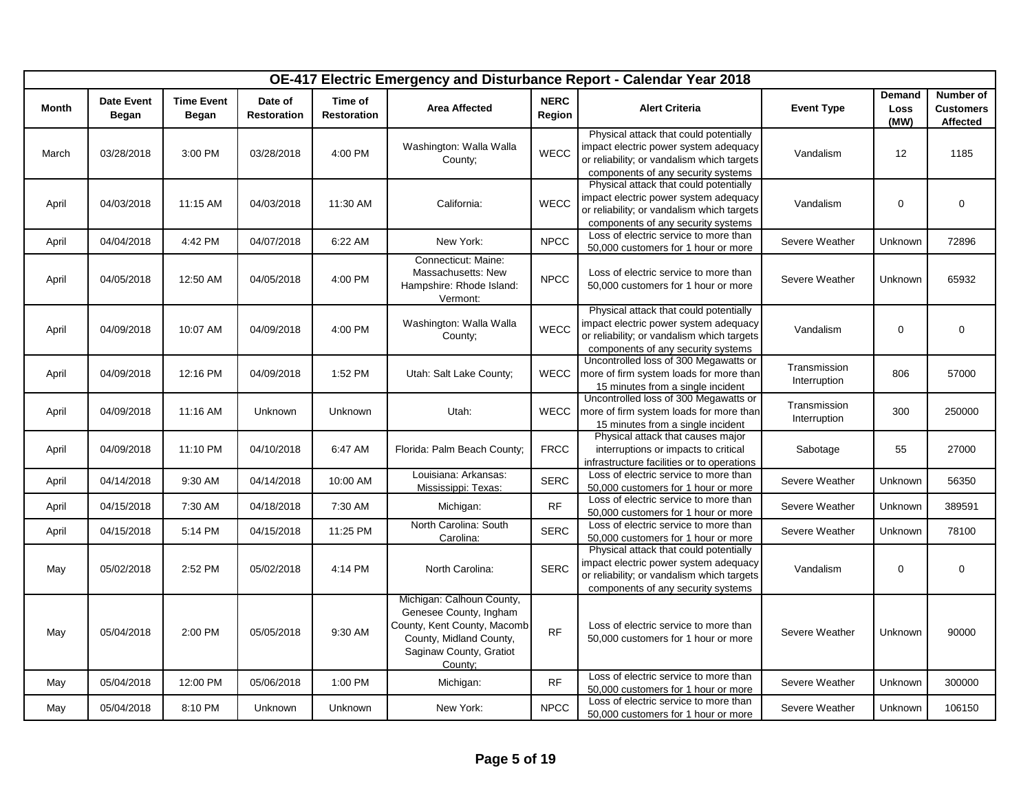|       |                                   |                                   |                               |                               |                                                                                                                                                     |                       | OE-417 Electric Emergency and Disturbance Report - Calendar Year 2018                                                                                               |                              |                               |                                                  |
|-------|-----------------------------------|-----------------------------------|-------------------------------|-------------------------------|-----------------------------------------------------------------------------------------------------------------------------------------------------|-----------------------|---------------------------------------------------------------------------------------------------------------------------------------------------------------------|------------------------------|-------------------------------|--------------------------------------------------|
| Month | <b>Date Event</b><br><b>Began</b> | <b>Time Event</b><br><b>Began</b> | Date of<br><b>Restoration</b> | Time of<br><b>Restoration</b> | <b>Area Affected</b>                                                                                                                                | <b>NERC</b><br>Region | <b>Alert Criteria</b>                                                                                                                                               | <b>Event Type</b>            | <b>Demand</b><br>Loss<br>(MW) | Number of<br><b>Customers</b><br><b>Affected</b> |
| March | 03/28/2018                        | 3:00 PM                           | 03/28/2018                    | 4:00 PM                       | Washington: Walla Walla<br>County;                                                                                                                  | WECC                  | Physical attack that could potentially<br>impact electric power system adequacy<br>or reliability; or vandalism which targets<br>components of any security systems | Vandalism                    | 12                            | 1185                                             |
| April | 04/03/2018                        | 11:15 AM                          | 04/03/2018                    | 11:30 AM                      | California:                                                                                                                                         | WECC                  | Physical attack that could potentially<br>impact electric power system adequacy<br>or reliability; or vandalism which targets<br>components of any security systems | Vandalism                    | $\mathsf 0$                   | $\mathbf 0$                                      |
| April | 04/04/2018                        | 4:42 PM                           | 04/07/2018                    | 6:22 AM                       | New York:                                                                                                                                           | <b>NPCC</b>           | Loss of electric service to more than<br>50,000 customers for 1 hour or more                                                                                        | Severe Weather               | Unknown                       | 72896                                            |
| April | 04/05/2018                        | 12:50 AM                          | 04/05/2018                    | 4:00 PM                       | Connecticut: Maine:<br>Massachusetts: New<br>Hampshire: Rhode Island:<br>Vermont:                                                                   | <b>NPCC</b>           | Loss of electric service to more than<br>50,000 customers for 1 hour or more                                                                                        | Severe Weather               | Unknown                       | 65932                                            |
| April | 04/09/2018                        | 10:07 AM                          | 04/09/2018                    | 4:00 PM                       | Washington: Walla Walla<br>County;                                                                                                                  | WECC                  | Physical attack that could potentially<br>impact electric power system adequacy<br>or reliability; or vandalism which targets<br>components of any security systems | Vandalism                    | $\mathsf 0$                   | $\mathbf 0$                                      |
| April | 04/09/2018                        | 12:16 PM                          | 04/09/2018                    | 1:52 PM                       | Utah: Salt Lake County;                                                                                                                             | <b>WECC</b>           | Uncontrolled loss of 300 Megawatts or<br>more of firm system loads for more than<br>15 minutes from a single incident                                               | Transmission<br>Interruption | 806                           | 57000                                            |
| April | 04/09/2018                        | 11:16 AM                          | Unknown                       | Unknown                       | Utah:                                                                                                                                               | <b>WECC</b>           | Uncontrolled loss of 300 Megawatts or<br>more of firm system loads for more than<br>15 minutes from a single incident                                               | Transmission<br>Interruption | 300                           | 250000                                           |
| April | 04/09/2018                        | 11:10 PM                          | 04/10/2018                    | 6:47 AM                       | Florida: Palm Beach County;                                                                                                                         | <b>FRCC</b>           | Physical attack that causes major<br>interruptions or impacts to critical<br>nfrastructure facilities or to operations                                              | Sabotage                     | 55                            | 27000                                            |
| April | 04/14/2018                        | 9:30 AM                           | 04/14/2018                    | 10:00 AM                      | Louisiana: Arkansas:<br>Mississippi: Texas:                                                                                                         | <b>SERC</b>           | Loss of electric service to more than<br>50,000 customers for 1 hour or more                                                                                        | Severe Weather               | Unknown                       | 56350                                            |
| April | 04/15/2018                        | 7:30 AM                           | 04/18/2018                    | 7:30 AM                       | Michigan:                                                                                                                                           | RF                    | Loss of electric service to more than<br>50,000 customers for 1 hour or more                                                                                        | Severe Weather               | Unknown                       | 389591                                           |
| April | 04/15/2018                        | 5:14 PM                           | 04/15/2018                    | 11:25 PM                      | North Carolina: South<br>Carolina:                                                                                                                  | <b>SERC</b>           | Loss of electric service to more than<br>50,000 customers for 1 hour or more                                                                                        | Severe Weather               | Unknown                       | 78100                                            |
| May   | 05/02/2018                        | 2:52 PM                           | 05/02/2018                    | 4:14 PM                       | North Carolina:                                                                                                                                     | <b>SERC</b>           | Physical attack that could potentially<br>impact electric power system adequacy<br>or reliability; or vandalism which targets<br>components of any security systems | Vandalism                    | $\mathbf 0$                   | $\mathbf 0$                                      |
| May   | 05/04/2018                        | 2:00 PM                           | 05/05/2018                    | 9:30 AM                       | Michigan: Calhoun County,<br>Genesee County, Ingham<br>County, Kent County, Macomb<br>County, Midland County,<br>Saginaw County, Gratiot<br>County; | <b>RF</b>             | Loss of electric service to more than<br>50,000 customers for 1 hour or more                                                                                        | Severe Weather               | Unknown                       | 90000                                            |
| May   | 05/04/2018                        | 12:00 PM                          | 05/06/2018                    | 1:00 PM                       | Michigan:                                                                                                                                           | <b>RF</b>             | Loss of electric service to more than<br>50,000 customers for 1 hour or more                                                                                        | Severe Weather               | Unknown                       | 300000                                           |
| May   | 05/04/2018                        | 8:10 PM                           | Unknown                       | Unknown                       | New York:                                                                                                                                           | <b>NPCC</b>           | Loss of electric service to more than<br>50,000 customers for 1 hour or more                                                                                        | Severe Weather               | Unknown                       | 106150                                           |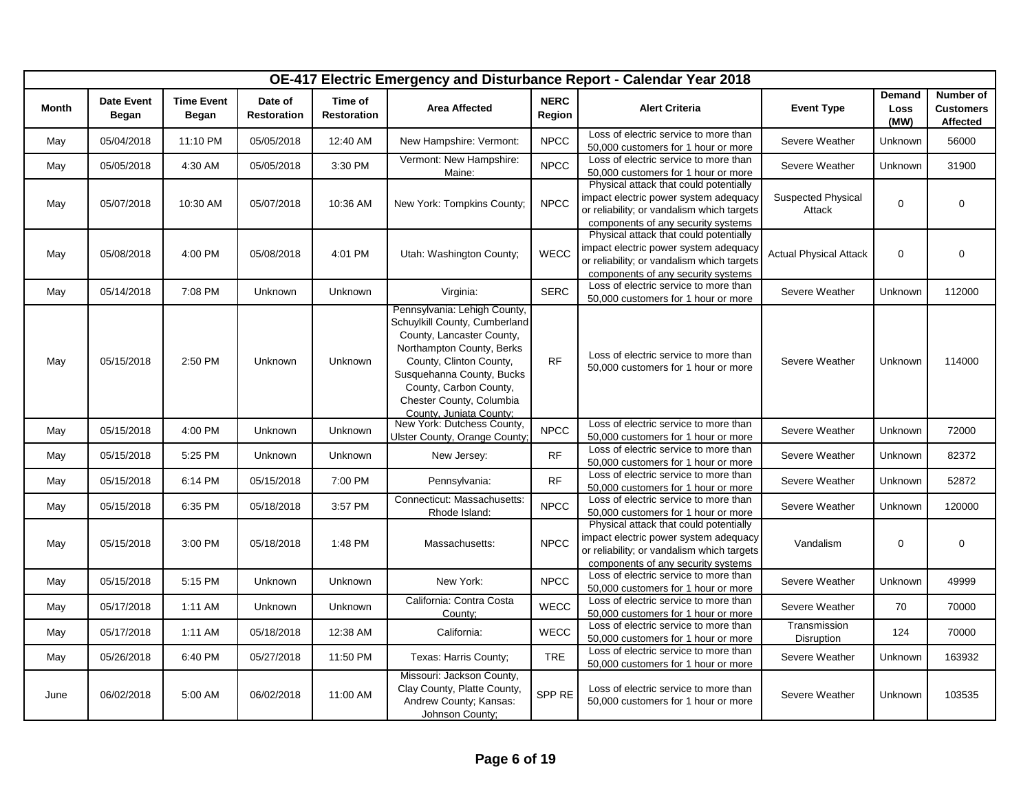|       |                            |                            |                               |                               |                                                                                                                                                                                                                                                                  |                       | OE-417 Electric Emergency and Disturbance Report - Calendar Year 2018                                                                                               |                                   |                               |                                           |
|-------|----------------------------|----------------------------|-------------------------------|-------------------------------|------------------------------------------------------------------------------------------------------------------------------------------------------------------------------------------------------------------------------------------------------------------|-----------------------|---------------------------------------------------------------------------------------------------------------------------------------------------------------------|-----------------------------------|-------------------------------|-------------------------------------------|
| Month | <b>Date Event</b><br>Began | <b>Time Event</b><br>Began | Date of<br><b>Restoration</b> | Time of<br><b>Restoration</b> | <b>Area Affected</b>                                                                                                                                                                                                                                             | <b>NERC</b><br>Region | <b>Alert Criteria</b>                                                                                                                                               | <b>Event Type</b>                 | <b>Demand</b><br>Loss<br>(MW) | Number of<br><b>Customers</b><br>Affected |
| May   | 05/04/2018                 | 11:10 PM                   | 05/05/2018                    | 12:40 AM                      | New Hampshire: Vermont:                                                                                                                                                                                                                                          | <b>NPCC</b>           | Loss of electric service to more than<br>50,000 customers for 1 hour or more                                                                                        | Severe Weather                    | Unknown                       | 56000                                     |
| May   | 05/05/2018                 | 4:30 AM                    | 05/05/2018                    | 3:30 PM                       | Vermont: New Hampshire:<br>Maine:                                                                                                                                                                                                                                | <b>NPCC</b>           | Loss of electric service to more than<br>50,000 customers for 1 hour or more                                                                                        | Severe Weather                    | Unknown                       | 31900                                     |
| May   | 05/07/2018                 | 10:30 AM                   | 05/07/2018                    | 10:36 AM                      | New York: Tompkins County;                                                                                                                                                                                                                                       | <b>NPCC</b>           | Physical attack that could potentially<br>impact electric power system adequacy<br>or reliability; or vandalism which targets<br>components of any security systems | Suspected Physical<br>Attack      | $\mathbf{0}$                  | $\mathbf 0$                               |
| May   | 05/08/2018                 | 4:00 PM                    | 05/08/2018                    | 4:01 PM                       | Utah: Washington County;                                                                                                                                                                                                                                         | <b>WECC</b>           | Physical attack that could potentially<br>impact electric power system adequacy<br>or reliability; or vandalism which targets<br>components of any security systems | <b>Actual Physical Attack</b>     | $\mathbf{0}$                  | $\mathbf 0$                               |
| May   | 05/14/2018                 | 7:08 PM                    | Unknown                       | Unknown                       | Virginia:                                                                                                                                                                                                                                                        | <b>SERC</b>           | Loss of electric service to more than<br>50,000 customers for 1 hour or more                                                                                        | Severe Weather                    | Unknown                       | 112000                                    |
| May   | 05/15/2018                 | 2:50 PM                    | Unknown                       | <b>Unknown</b>                | Pennsylvania: Lehigh County,<br>Schuylkill County, Cumberland<br>County, Lancaster County,<br>Northampton County, Berks<br>County, Clinton County,<br>Susquehanna County, Bucks<br>County, Carbon County,<br>Chester County, Columbia<br>County, Juniata County; | <b>RF</b>             | Loss of electric service to more than<br>50,000 customers for 1 hour or more                                                                                        | Severe Weather                    | Unknown                       | 114000                                    |
| May   | 05/15/2018                 | 4:00 PM                    | Unknown                       | Unknown                       | New York: Dutchess County,<br>Ulster County, Orange County;                                                                                                                                                                                                      | <b>NPCC</b>           | Loss of electric service to more than<br>50,000 customers for 1 hour or more                                                                                        | Severe Weather                    | Unknown                       | 72000                                     |
| May   | 05/15/2018                 | 5:25 PM                    | Unknown                       | Unknown                       | New Jersey:                                                                                                                                                                                                                                                      | <b>RF</b>             | Loss of electric service to more than<br>50,000 customers for 1 hour or more                                                                                        | Severe Weather                    | Unknown                       | 82372                                     |
| May   | 05/15/2018                 | 6:14 PM                    | 05/15/2018                    | 7:00 PM                       | Pennsylvania:                                                                                                                                                                                                                                                    | <b>RF</b>             | Loss of electric service to more than<br>50,000 customers for 1 hour or more                                                                                        | Severe Weather                    | Unknown                       | 52872                                     |
| May   | 05/15/2018                 | 6:35 PM                    | 05/18/2018                    | 3:57 PM                       | Connecticut: Massachusetts:<br>Rhode Island:                                                                                                                                                                                                                     | <b>NPCC</b>           | Loss of electric service to more than<br>50,000 customers for 1 hour or more                                                                                        | Severe Weather                    | Unknown                       | 120000                                    |
| May   | 05/15/2018                 | 3:00 PM                    | 05/18/2018                    | 1:48 PM                       | Massachusetts:                                                                                                                                                                                                                                                   | <b>NPCC</b>           | Physical attack that could potentially<br>impact electric power system adequacy<br>or reliability; or vandalism which targets<br>components of any security systems | Vandalism                         | $\mathbf 0$                   | $\mathbf 0$                               |
| May   | 05/15/2018                 | 5:15 PM                    | Unknown                       | Unknown                       | New York:                                                                                                                                                                                                                                                        | <b>NPCC</b>           | Loss of electric service to more than<br>50,000 customers for 1 hour or more                                                                                        | Severe Weather                    | Unknown                       | 49999                                     |
| May   | 05/17/2018                 | 1:11 AM                    | Unknown                       | Unknown                       | California: Contra Costa<br>County;                                                                                                                                                                                                                              | WECC                  | Loss of electric service to more than<br>50,000 customers for 1 hour or more                                                                                        | Severe Weather                    | 70                            | 70000                                     |
| May   | 05/17/2018                 | 1:11 AM                    | 05/18/2018                    | 12:38 AM                      | California:                                                                                                                                                                                                                                                      | WECC                  | Loss of electric service to more than<br>50,000 customers for 1 hour or more                                                                                        | Transmission<br><b>Disruption</b> | 124                           | 70000                                     |
| May   | 05/26/2018                 | 6:40 PM                    | 05/27/2018                    | 11:50 PM                      | Texas: Harris County;                                                                                                                                                                                                                                            | <b>TRE</b>            | Loss of electric service to more than<br>50,000 customers for 1 hour or more                                                                                        | Severe Weather                    | Unknown                       | 163932                                    |
| June  | 06/02/2018                 | 5:00 AM                    | 06/02/2018                    | 11:00 AM                      | Missouri: Jackson County,<br>Clay County, Platte County,<br>Andrew County; Kansas:<br>Johnson County;                                                                                                                                                            | SPP RE                | Loss of electric service to more than<br>50,000 customers for 1 hour or more                                                                                        | Severe Weather                    | Unknown                       | 103535                                    |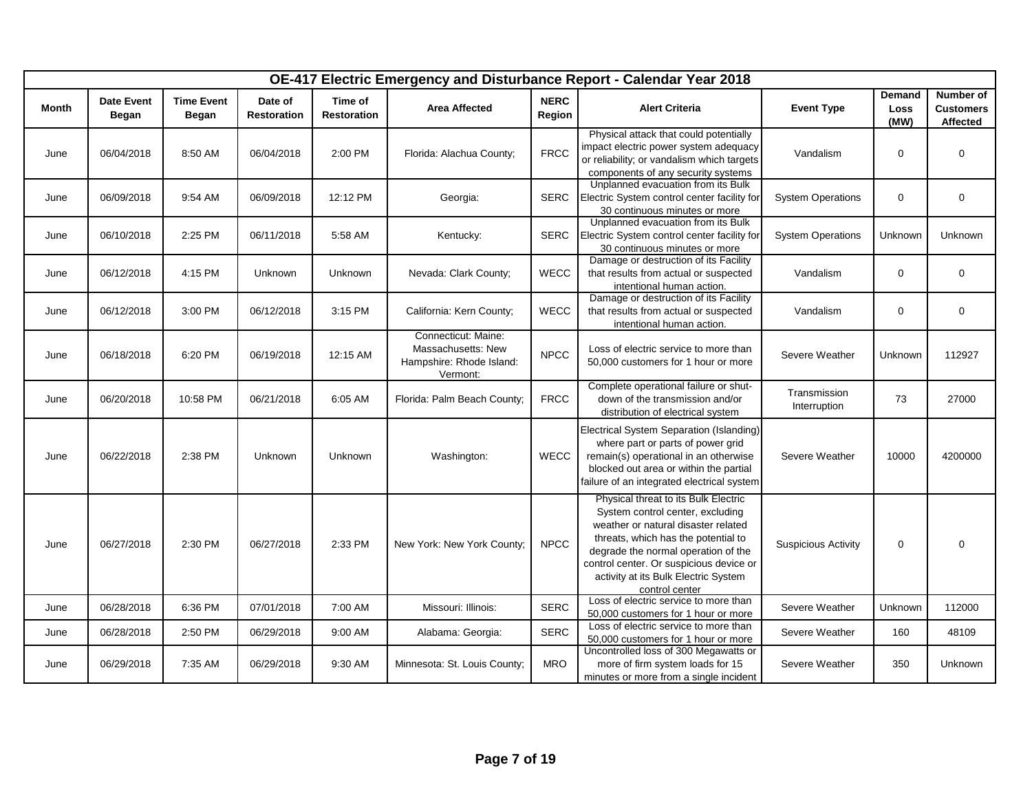|       |                                   |                                   |                               |                               |                                                                                   |                       | OE-417 Electric Emergency and Disturbance Report - Calendar Year 2018                                                                                                                                                                                                                              |                              |                        |                                           |
|-------|-----------------------------------|-----------------------------------|-------------------------------|-------------------------------|-----------------------------------------------------------------------------------|-----------------------|----------------------------------------------------------------------------------------------------------------------------------------------------------------------------------------------------------------------------------------------------------------------------------------------------|------------------------------|------------------------|-------------------------------------------|
| Month | <b>Date Event</b><br><b>Began</b> | <b>Time Event</b><br><b>Began</b> | Date of<br><b>Restoration</b> | Time of<br><b>Restoration</b> | <b>Area Affected</b>                                                              | <b>NERC</b><br>Region | <b>Alert Criteria</b>                                                                                                                                                                                                                                                                              | <b>Event Type</b>            | Demand<br>Loss<br>(MW) | Number of<br><b>Customers</b><br>Affected |
| June  | 06/04/2018                        | 8:50 AM                           | 06/04/2018                    | 2:00 PM                       | Florida: Alachua County;                                                          | <b>FRCC</b>           | Physical attack that could potentially<br>impact electric power system adequacy<br>or reliability; or vandalism which targets<br>components of any security systems                                                                                                                                | Vandalism                    | $\mathbf 0$            | $\mathbf 0$                               |
| June  | 06/09/2018                        | 9:54 AM                           | 06/09/2018                    | 12:12 PM                      | Georgia:                                                                          | <b>SERC</b>           | Unplanned evacuation from its Bulk<br>Electric System control center facility for<br>30 continuous minutes or more                                                                                                                                                                                 | <b>System Operations</b>     | $\mathsf 0$            | $\mathbf 0$                               |
| June  | 06/10/2018                        | 2:25 PM                           | 06/11/2018                    | 5:58 AM                       | Kentucky:                                                                         | <b>SERC</b>           | Unplanned evacuation from its Bulk<br>Electric System control center facility for<br>30 continuous minutes or more                                                                                                                                                                                 | <b>System Operations</b>     | Unknown                | <b>Unknown</b>                            |
| June  | 06/12/2018                        | 4:15 PM                           | Unknown                       | Unknown                       | Nevada: Clark County;                                                             | <b>WECC</b>           | Damage or destruction of its Facility<br>that results from actual or suspected<br>intentional human action.                                                                                                                                                                                        | Vandalism                    | $\mathbf 0$            | $\mathbf 0$                               |
| June  | 06/12/2018                        | 3:00 PM                           | 06/12/2018                    | 3:15 PM                       | California: Kern County;                                                          | <b>WECC</b>           | Damage or destruction of its Facility<br>that results from actual or suspected<br>intentional human action.                                                                                                                                                                                        | Vandalism                    | $\mathsf 0$            | $\mathbf 0$                               |
| June  | 06/18/2018                        | 6:20 PM                           | 06/19/2018                    | 12:15 AM                      | Connecticut: Maine:<br>Massachusetts: New<br>Hampshire: Rhode Island:<br>Vermont: | <b>NPCC</b>           | Loss of electric service to more than<br>50,000 customers for 1 hour or more                                                                                                                                                                                                                       | Severe Weather               | Unknown                | 112927                                    |
| June  | 06/20/2018                        | 10:58 PM                          | 06/21/2018                    | 6:05 AM                       | Florida: Palm Beach County;                                                       | <b>FRCC</b>           | Complete operational failure or shut-<br>down of the transmission and/or<br>distribution of electrical system                                                                                                                                                                                      | Transmission<br>Interruption | 73                     | 27000                                     |
| June  | 06/22/2018                        | 2:38 PM                           | Unknown                       | Unknown                       | Washington:                                                                       | WECC                  | Electrical System Separation (Islanding)<br>where part or parts of power grid<br>remain(s) operational in an otherwise<br>blocked out area or within the partial<br>failure of an integrated electrical system                                                                                     | Severe Weather               | 10000                  | 4200000                                   |
| June  | 06/27/2018                        | 2:30 PM                           | 06/27/2018                    | 2:33 PM                       | New York: New York County;                                                        | <b>NPCC</b>           | Physical threat to its Bulk Electric<br>System control center, excluding<br>weather or natural disaster related<br>threats, which has the potential to<br>degrade the normal operation of the<br>control center. Or suspicious device or<br>activity at its Bulk Electric System<br>control center | <b>Suspicious Activity</b>   | $\mathsf 0$            | $\Omega$                                  |
| June  | 06/28/2018                        | 6:36 PM                           | 07/01/2018                    | 7:00 AM                       | Missouri: Illinois:                                                               | <b>SERC</b>           | Loss of electric service to more than<br>50,000 customers for 1 hour or more                                                                                                                                                                                                                       | Severe Weather               | Unknown                | 112000                                    |
| June  | 06/28/2018                        | 2:50 PM                           | 06/29/2018                    | 9:00 AM                       | Alabama: Georgia:                                                                 | <b>SERC</b>           | Loss of electric service to more than<br>50,000 customers for 1 hour or more                                                                                                                                                                                                                       | Severe Weather               | 160                    | 48109                                     |
| June  | 06/29/2018                        | 7:35 AM                           | 06/29/2018                    | 9:30 AM                       | Minnesota: St. Louis County;                                                      | <b>MRO</b>            | Uncontrolled loss of 300 Megawatts or<br>more of firm system loads for 15<br>minutes or more from a single incident                                                                                                                                                                                | Severe Weather               | 350                    | Unknown                                   |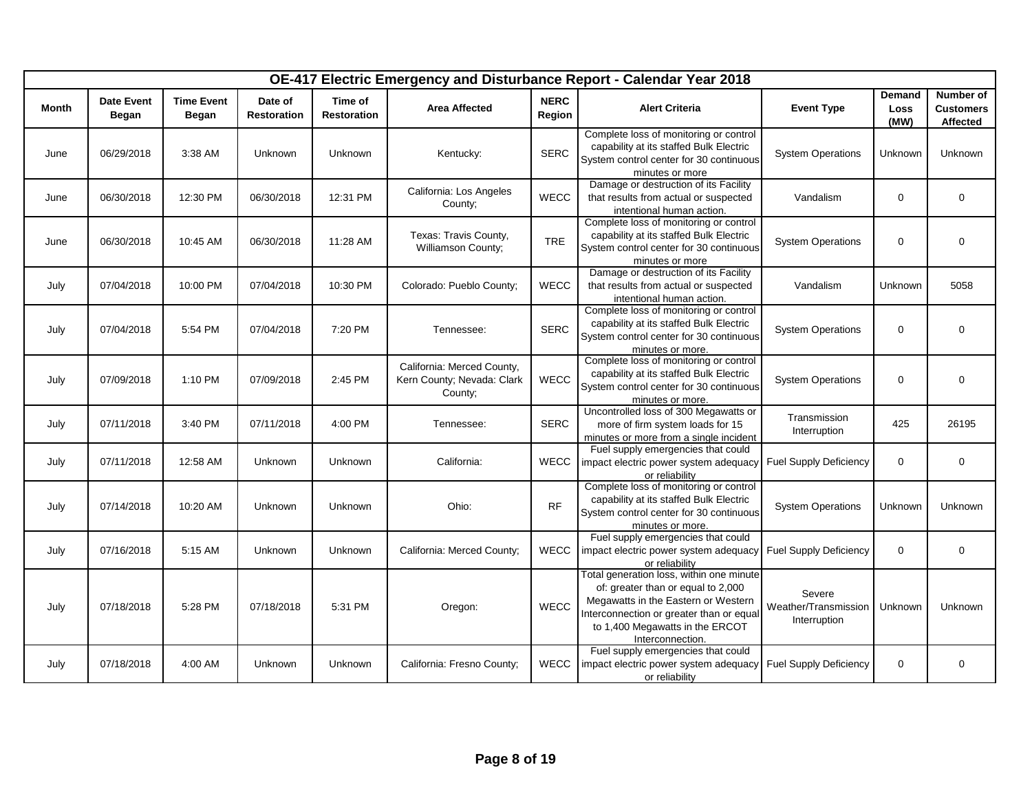|       |                                   |                                   |                               |                               |                                                                     |                       | OE-417 Electric Emergency and Disturbance Report - Calendar Year 2018                                                                                                                                                    |                                                |                        |                                           |
|-------|-----------------------------------|-----------------------------------|-------------------------------|-------------------------------|---------------------------------------------------------------------|-----------------------|--------------------------------------------------------------------------------------------------------------------------------------------------------------------------------------------------------------------------|------------------------------------------------|------------------------|-------------------------------------------|
| Month | <b>Date Event</b><br><b>Began</b> | <b>Time Event</b><br><b>Began</b> | Date of<br><b>Restoration</b> | Time of<br><b>Restoration</b> | <b>Area Affected</b>                                                | <b>NERC</b><br>Region | <b>Alert Criteria</b>                                                                                                                                                                                                    | <b>Event Type</b>                              | Demand<br>Loss<br>(MW) | Number of<br><b>Customers</b><br>Affected |
| June  | 06/29/2018                        | 3:38 AM                           | Unknown                       | <b>Unknown</b>                | Kentucky:                                                           | <b>SERC</b>           | Complete loss of monitoring or control<br>capability at its staffed Bulk Electric<br>System control center for 30 continuous<br>minutes or more                                                                          | <b>System Operations</b>                       | Unknown                | <b>Unknown</b>                            |
| June  | 06/30/2018                        | 12:30 PM                          | 06/30/2018                    | 12:31 PM                      | California: Los Angeles<br>County;                                  | WECC                  | Damage or destruction of its Facility<br>that results from actual or suspected<br>intentional human action.                                                                                                              | Vandalism                                      | $\mathbf 0$            | $\pmb{0}$                                 |
| June  | 06/30/2018                        | 10:45 AM                          | 06/30/2018                    | 11:28 AM                      | Texas: Travis County,<br>Williamson County;                         | <b>TRE</b>            | Complete loss of monitoring or control<br>capability at its staffed Bulk Electric<br>System control center for 30 continuous<br>minutes or more                                                                          | <b>System Operations</b>                       | $\mathbf 0$            | 0                                         |
| July  | 07/04/2018                        | 10:00 PM                          | 07/04/2018                    | 10:30 PM                      | Colorado: Pueblo County;                                            | WECC                  | Damage or destruction of its Facility<br>that results from actual or suspected<br>intentional human action.                                                                                                              | Vandalism                                      | Unknown                | 5058                                      |
| July  | 07/04/2018                        | 5:54 PM                           | 07/04/2018                    | 7:20 PM                       | Tennessee:                                                          | <b>SERC</b>           | Complete loss of monitoring or control<br>capability at its staffed Bulk Electric<br>System control center for 30 continuous<br>minutes or more.                                                                         | <b>System Operations</b>                       | $\mathbf 0$            | $\pmb{0}$                                 |
| July  | 07/09/2018                        | 1:10 PM                           | 07/09/2018                    | 2:45 PM                       | California: Merced County,<br>Kern County; Nevada: Clark<br>County; | WECC                  | Complete loss of monitoring or control<br>capability at its staffed Bulk Electric<br>System control center for 30 continuous<br>minutes or more.                                                                         | <b>System Operations</b>                       | $\mathbf{0}$           | $\pmb{0}$                                 |
| July  | 07/11/2018                        | 3:40 PM                           | 07/11/2018                    | 4:00 PM                       | Tennessee:                                                          | <b>SERC</b>           | Uncontrolled loss of 300 Megawatts or<br>more of firm system loads for 15<br>minutes or more from a single incident                                                                                                      | Transmission<br>Interruption                   | 425                    | 26195                                     |
| July  | 07/11/2018                        | 12:58 AM                          | Unknown                       | Unknown                       | California:                                                         | WECC                  | Fuel supply emergencies that could<br>impact electric power system adequacy<br>or reliability                                                                                                                            | <b>Fuel Supply Deficiency</b>                  | $\mathbf 0$            | $\pmb{0}$                                 |
| July  | 07/14/2018                        | 10:20 AM                          | Unknown                       | Unknown                       | Ohio:                                                               | RF                    | Complete loss of monitoring or control<br>capability at its staffed Bulk Electric<br>System control center for 30 continuous<br>minutes or more.                                                                         | <b>System Operations</b>                       | Unknown                | Unknown                                   |
| July  | 07/16/2018                        | 5:15 AM                           | Unknown                       | <b>Unknown</b>                | California: Merced County;                                          | <b>WECC</b>           | Fuel supply emergencies that could<br>impact electric power system adequacy Fuel Supply Deficiency<br>or reliability                                                                                                     |                                                | $\mathbf 0$            | 0                                         |
| July  | 07/18/2018                        | 5:28 PM                           | 07/18/2018                    | 5:31 PM                       | Oregon:                                                             | WECC                  | Total generation loss, within one minute<br>of: greater than or equal to 2,000<br>Megawatts in the Eastern or Western<br>Interconnection or greater than or equal<br>to 1,400 Megawatts in the ERCOT<br>Interconnection. | Severe<br>Weather/Transmission<br>Interruption | Unknown                | Unknown                                   |
| July  | 07/18/2018                        | 4:00 AM                           | Unknown                       | Unknown                       | California: Fresno County;                                          | WECC                  | Fuel supply emergencies that could<br>impact electric power system adequacy<br>or reliability                                                                                                                            | <b>Fuel Supply Deficiency</b>                  | $\mathbf 0$            | 0                                         |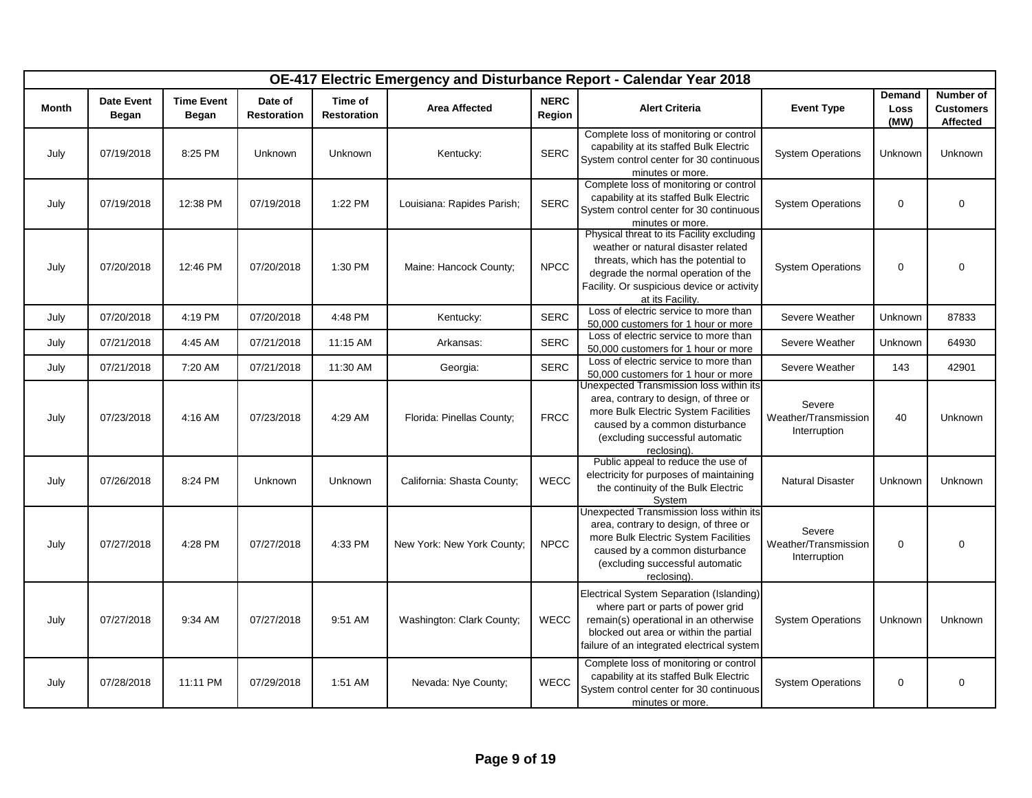|              |                            |                            |                               |                               |                            |                       | OE-417 Electric Emergency and Disturbance Report - Calendar Year 2018                                                                                                                                                            |                                                |                               |                                           |
|--------------|----------------------------|----------------------------|-------------------------------|-------------------------------|----------------------------|-----------------------|----------------------------------------------------------------------------------------------------------------------------------------------------------------------------------------------------------------------------------|------------------------------------------------|-------------------------------|-------------------------------------------|
| <b>Month</b> | <b>Date Event</b><br>Began | <b>Time Event</b><br>Began | Date of<br><b>Restoration</b> | Time of<br><b>Restoration</b> | <b>Area Affected</b>       | <b>NERC</b><br>Region | <b>Alert Criteria</b>                                                                                                                                                                                                            | <b>Event Type</b>                              | <b>Demand</b><br>Loss<br>(MW) | Number of<br><b>Customers</b><br>Affected |
| July         | 07/19/2018                 | 8:25 PM                    | <b>Unknown</b>                | <b>Unknown</b>                | Kentucky:                  | <b>SERC</b>           | Complete loss of monitoring or control<br>capability at its staffed Bulk Electric<br>System control center for 30 continuous<br>minutes or more.                                                                                 | <b>System Operations</b>                       | Unknown                       | <b>Unknown</b>                            |
| July         | 07/19/2018                 | 12:38 PM                   | 07/19/2018                    | 1:22 PM                       | Louisiana: Rapides Parish; | <b>SERC</b>           | Complete loss of monitoring or control<br>capability at its staffed Bulk Electric<br>System control center for 30 continuous<br>minutes or more.                                                                                 | <b>System Operations</b>                       | $\mathbf 0$                   | $\mathbf 0$                               |
| July         | 07/20/2018                 | 12:46 PM                   | 07/20/2018                    | 1:30 PM                       | Maine: Hancock County;     | <b>NPCC</b>           | Physical threat to its Facility excluding<br>weather or natural disaster related<br>threats, which has the potential to<br>degrade the normal operation of the<br>Facility. Or suspicious device or activity<br>at its Facility. | <b>System Operations</b>                       | $\mathbf 0$                   | $\Omega$                                  |
| July         | 07/20/2018                 | 4:19 PM                    | 07/20/2018                    | 4:48 PM                       | Kentucky:                  | <b>SERC</b>           | Loss of electric service to more than<br>50,000 customers for 1 hour or more                                                                                                                                                     | Severe Weather                                 | Unknown                       | 87833                                     |
| July         | 07/21/2018                 | 4:45 AM                    | 07/21/2018                    | 11:15 AM                      | Arkansas:                  | <b>SERC</b>           | Loss of electric service to more than<br>50,000 customers for 1 hour or more                                                                                                                                                     | Severe Weather                                 | Unknown                       | 64930                                     |
| July         | 07/21/2018                 | 7:20 AM                    | 07/21/2018                    | 11:30 AM                      | Georgia:                   | <b>SERC</b>           | Loss of electric service to more than<br>50,000 customers for 1 hour or more                                                                                                                                                     | Severe Weather                                 | 143                           | 42901                                     |
| July         | 07/23/2018                 | 4:16 AM                    | 07/23/2018                    | 4:29 AM                       | Florida: Pinellas County;  | <b>FRCC</b>           | <b>Jnexpected Transmission loss within its</b><br>area, contrary to design, of three or<br>more Bulk Electric System Facilities<br>caused by a common disturbance<br>(excluding successful automatic<br>reclosing).              | Severe<br>Weather/Transmission<br>Interruption | 40                            | Unknown                                   |
| July         | 07/26/2018                 | 8:24 PM                    | Unknown                       | Unknown                       | California: Shasta County; | <b>WECC</b>           | Public appeal to reduce the use of<br>electricity for purposes of maintaining<br>the continuity of the Bulk Electric<br>System                                                                                                   | <b>Natural Disaster</b>                        | Unknown                       | Unknown                                   |
| July         | 07/27/2018                 | 4:28 PM                    | 07/27/2018                    | 4:33 PM                       | New York: New York County; | <b>NPCC</b>           | Unexpected Transmission loss within its<br>area, contrary to design, of three or<br>more Bulk Electric System Facilities<br>caused by a common disturbance<br>(excluding successful automatic<br>reclosing).                     | Severe<br>Weather/Transmission<br>Interruption | $\mathbf 0$                   | $\mathbf 0$                               |
| July         | 07/27/2018                 | 9:34 AM                    | 07/27/2018                    | 9:51 AM                       | Washington: Clark County;  | <b>WECC</b>           | Electrical System Separation (Islanding)<br>where part or parts of power grid<br>remain(s) operational in an otherwise<br>blocked out area or within the partial<br>failure of an integrated electrical system                   | <b>System Operations</b>                       | Unknown                       | Unknown                                   |
| July         | 07/28/2018                 | 11:11 PM                   | 07/29/2018                    | 1:51 AM                       | Nevada: Nye County;        | <b>WECC</b>           | Complete loss of monitoring or control<br>capability at its staffed Bulk Electric<br>System control center for 30 continuous<br>minutes or more.                                                                                 | <b>System Operations</b>                       | $\mathbf 0$                   | $\mathbf 0$                               |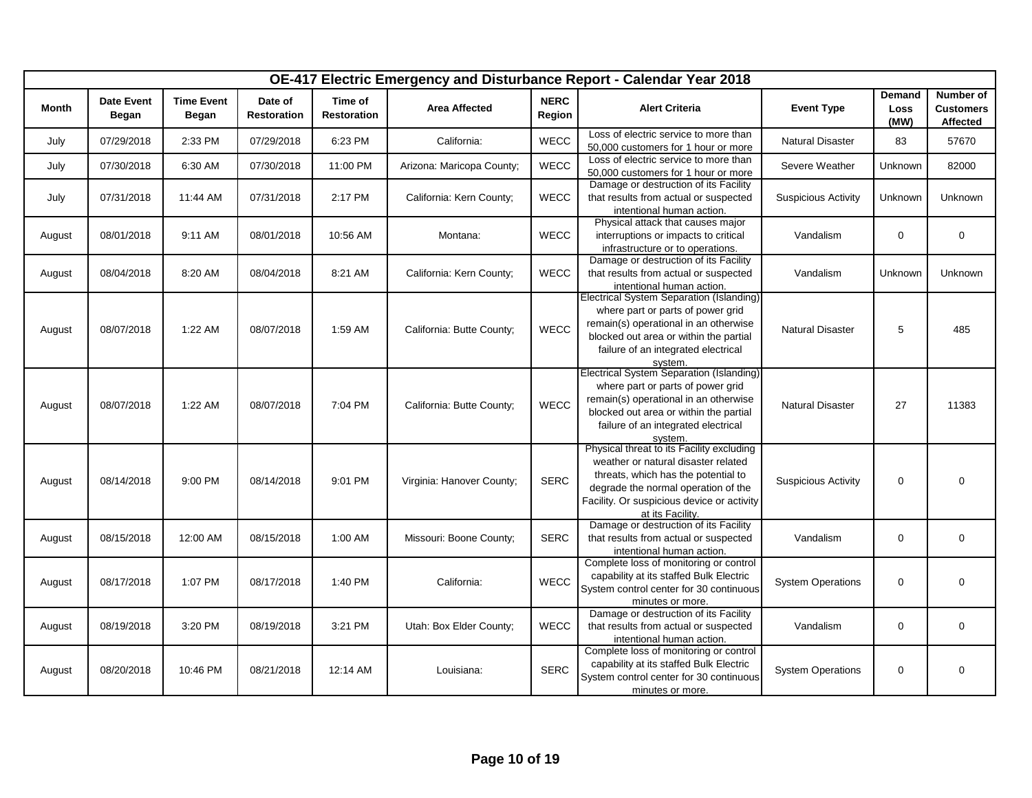|              |                            |                            |                               |                               |                           |                       | OE-417 Electric Emergency and Disturbance Report - Calendar Year 2018                                                                                                                                                            |                            |                               |                                           |
|--------------|----------------------------|----------------------------|-------------------------------|-------------------------------|---------------------------|-----------------------|----------------------------------------------------------------------------------------------------------------------------------------------------------------------------------------------------------------------------------|----------------------------|-------------------------------|-------------------------------------------|
| <b>Month</b> | <b>Date Event</b><br>Began | <b>Time Event</b><br>Began | Date of<br><b>Restoration</b> | Time of<br><b>Restoration</b> | <b>Area Affected</b>      | <b>NERC</b><br>Region | <b>Alert Criteria</b>                                                                                                                                                                                                            | <b>Event Type</b>          | <b>Demand</b><br>Loss<br>(MW) | Number of<br><b>Customers</b><br>Affected |
| July         | 07/29/2018                 | 2:33 PM                    | 07/29/2018                    | 6:23 PM                       | California:               | WECC                  | Loss of electric service to more than<br>50,000 customers for 1 hour or more                                                                                                                                                     | <b>Natural Disaster</b>    | 83                            | 57670                                     |
| July         | 07/30/2018                 | 6:30 AM                    | 07/30/2018                    | 11:00 PM                      | Arizona: Maricopa County; | WECC                  | Loss of electric service to more than<br>50,000 customers for 1 hour or more                                                                                                                                                     | Severe Weather             | Unknown                       | 82000                                     |
| July         | 07/31/2018                 | 11:44 AM                   | 07/31/2018                    | 2:17 PM                       | California: Kern County;  | WECC                  | Damage or destruction of its Facility<br>that results from actual or suspected<br>intentional human action.                                                                                                                      | <b>Suspicious Activity</b> | Unknown                       | Unknown                                   |
| August       | 08/01/2018                 | 9:11 AM                    | 08/01/2018                    | 10:56 AM                      | Montana:                  | <b>WECC</b>           | Physical attack that causes major<br>interruptions or impacts to critical<br>infrastructure or to operations.                                                                                                                    | Vandalism                  | $\mathbf 0$                   | $\mathbf 0$                               |
| August       | 08/04/2018                 | 8:20 AM                    | 08/04/2018                    | 8:21 AM                       | California: Kern County;  | <b>WECC</b>           | Damage or destruction of its Facility<br>that results from actual or suspected<br>intentional human action.                                                                                                                      | Vandalism                  | Unknown                       | Unknown                                   |
| August       | 08/07/2018                 | 1:22 AM                    | 08/07/2018                    | 1:59 AM                       | California: Butte County; | WECC                  | <b>Electrical System Separation (Islanding)</b><br>where part or parts of power grid<br>remain(s) operational in an otherwise<br>blocked out area or within the partial<br>failure of an integrated electrical<br>system.        | <b>Natural Disaster</b>    | 5                             | 485                                       |
| August       | 08/07/2018                 | 1:22 AM                    | 08/07/2018                    | 7:04 PM                       | California: Butte County; | WECC                  | Electrical System Separation (Islanding)<br>where part or parts of power grid<br>remain(s) operational in an otherwise<br>blocked out area or within the partial<br>failure of an integrated electrical<br>system.               | Natural Disaster           | 27                            | 11383                                     |
| August       | 08/14/2018                 | 9:00 PM                    | 08/14/2018                    | 9:01 PM                       | Virginia: Hanover County; | <b>SERC</b>           | Physical threat to its Facility excluding<br>weather or natural disaster related<br>threats, which has the potential to<br>degrade the normal operation of the<br>Facility. Or suspicious device or activity<br>at its Facility. | <b>Suspicious Activity</b> | $\pmb{0}$                     | $\Omega$                                  |
| August       | 08/15/2018                 | 12:00 AM                   | 08/15/2018                    | 1:00 AM                       | Missouri: Boone County;   | <b>SERC</b>           | Damage or destruction of its Facility<br>that results from actual or suspected<br>intentional human action.                                                                                                                      | Vandalism                  | $\mathbf 0$                   | $\mathbf 0$                               |
| August       | 08/17/2018                 | 1:07 PM                    | 08/17/2018                    | 1:40 PM                       | California:               | <b>WECC</b>           | Complete loss of monitoring or control<br>capability at its staffed Bulk Electric<br>System control center for 30 continuous<br>minutes or more.                                                                                 | <b>System Operations</b>   | $\mathbf 0$                   | $\mathbf 0$                               |
| August       | 08/19/2018                 | 3:20 PM                    | 08/19/2018                    | 3:21 PM                       | Utah: Box Elder County;   | <b>WECC</b>           | Damage or destruction of its Facility<br>that results from actual or suspected<br>intentional human action.                                                                                                                      | Vandalism                  | $\mathbf 0$                   | $\mathbf 0$                               |
| August       | 08/20/2018                 | 10:46 PM                   | 08/21/2018                    | 12:14 AM                      | Louisiana:                | <b>SERC</b>           | Complete loss of monitoring or control<br>capability at its staffed Bulk Electric<br>System control center for 30 continuous<br>minutes or more.                                                                                 | <b>System Operations</b>   | $\mathbf 0$                   | $\mathbf 0$                               |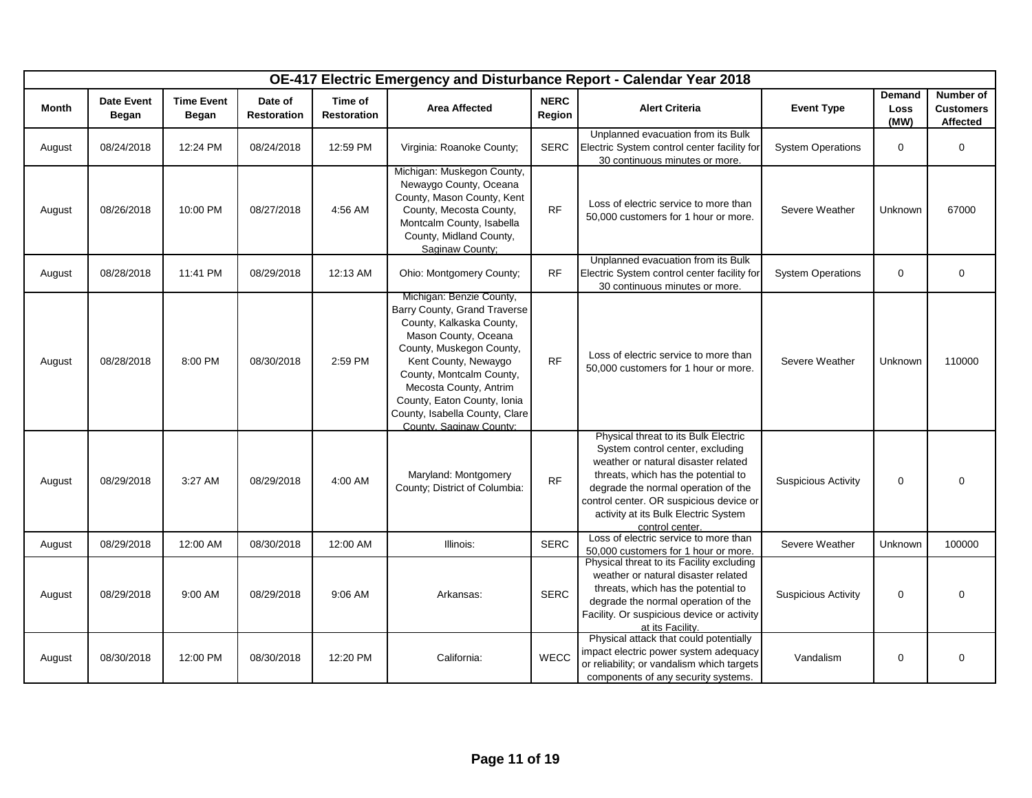|        |                                   |                            |                               |                               |                                                                                                                                                                                                                                                                                                                    |                       | OE-417 Electric Emergency and Disturbance Report - Calendar Year 2018                                                                                                                                                                                                                               |                            |                        |                                           |
|--------|-----------------------------------|----------------------------|-------------------------------|-------------------------------|--------------------------------------------------------------------------------------------------------------------------------------------------------------------------------------------------------------------------------------------------------------------------------------------------------------------|-----------------------|-----------------------------------------------------------------------------------------------------------------------------------------------------------------------------------------------------------------------------------------------------------------------------------------------------|----------------------------|------------------------|-------------------------------------------|
| Month  | <b>Date Event</b><br><b>Began</b> | <b>Time Event</b><br>Began | Date of<br><b>Restoration</b> | Time of<br><b>Restoration</b> | <b>Area Affected</b>                                                                                                                                                                                                                                                                                               | <b>NERC</b><br>Region | <b>Alert Criteria</b>                                                                                                                                                                                                                                                                               | <b>Event Type</b>          | Demand<br>Loss<br>(MW) | Number of<br><b>Customers</b><br>Affected |
| August | 08/24/2018                        | 12:24 PM                   | 08/24/2018                    | 12:59 PM                      | Virginia: Roanoke County;                                                                                                                                                                                                                                                                                          | <b>SERC</b>           | Unplanned evacuation from its Bulk<br>Electric System control center facility for<br>30 continuous minutes or more.                                                                                                                                                                                 | <b>System Operations</b>   | $\mathbf 0$            | 0                                         |
| August | 08/26/2018                        | 10:00 PM                   | 08/27/2018                    | 4:56 AM                       | Michigan: Muskegon County,<br>Newaygo County, Oceana<br>County, Mason County, Kent<br>County, Mecosta County,<br>Montcalm County, Isabella<br>County, Midland County,<br>Saginaw County;                                                                                                                           | RF                    | Loss of electric service to more than<br>50,000 customers for 1 hour or more.                                                                                                                                                                                                                       | Severe Weather             | Unknown                | 67000                                     |
| August | 08/28/2018                        | 11:41 PM                   | 08/29/2018                    | 12:13 AM                      | Ohio: Montgomery County;                                                                                                                                                                                                                                                                                           | RF                    | Unplanned evacuation from its Bulk<br>Electric System control center facility for<br>30 continuous minutes or more.                                                                                                                                                                                 | <b>System Operations</b>   | $\mathbf 0$            | $\mathbf 0$                               |
| August | 08/28/2018                        | 8:00 PM                    | 08/30/2018                    | 2:59 PM                       | Michigan: Benzie County,<br>Barry County, Grand Traverse<br>County, Kalkaska County,<br>Mason County, Oceana<br>County, Muskegon County,<br>Kent County, Newaygo<br>County, Montcalm County,<br>Mecosta County, Antrim<br>County, Eaton County, Ionia<br>County, Isabella County, Clare<br>County. Saginaw County: | RF                    | Loss of electric service to more than<br>50,000 customers for 1 hour or more.                                                                                                                                                                                                                       | Severe Weather             | Unknown                | 110000                                    |
| August | 08/29/2018                        | 3:27 AM                    | 08/29/2018                    | 4:00 AM                       | Maryland: Montgomery<br>County; District of Columbia:                                                                                                                                                                                                                                                              | <b>RF</b>             | Physical threat to its Bulk Electric<br>System control center, excluding<br>weather or natural disaster related<br>threats, which has the potential to<br>degrade the normal operation of the<br>control center. OR suspicious device or<br>activity at its Bulk Electric System<br>control center. | <b>Suspicious Activity</b> | $\mathbf 0$            | $\mathbf 0$                               |
| August | 08/29/2018                        | 12:00 AM                   | 08/30/2018                    | 12:00 AM                      | Illinois:                                                                                                                                                                                                                                                                                                          | <b>SERC</b>           | Loss of electric service to more than<br>50,000 customers for 1 hour or more.                                                                                                                                                                                                                       | Severe Weather             | Unknown                | 100000                                    |
| August | 08/29/2018                        | 9:00 AM                    | 08/29/2018                    | 9:06 AM                       | Arkansas:                                                                                                                                                                                                                                                                                                          | <b>SERC</b>           | Physical threat to its Facility excluding<br>weather or natural disaster related<br>threats, which has the potential to<br>degrade the normal operation of the<br>Facility. Or suspicious device or activity<br>at its Facility.                                                                    | <b>Suspicious Activity</b> | $\mathbf 0$            | 0                                         |
| August | 08/30/2018                        | 12:00 PM                   | 08/30/2018                    | 12:20 PM                      | California:                                                                                                                                                                                                                                                                                                        | WECC                  | Physical attack that could potentially<br>impact electric power system adequacy<br>or reliability; or vandalism which targets<br>components of any security systems.                                                                                                                                | Vandalism                  | 0                      | 0                                         |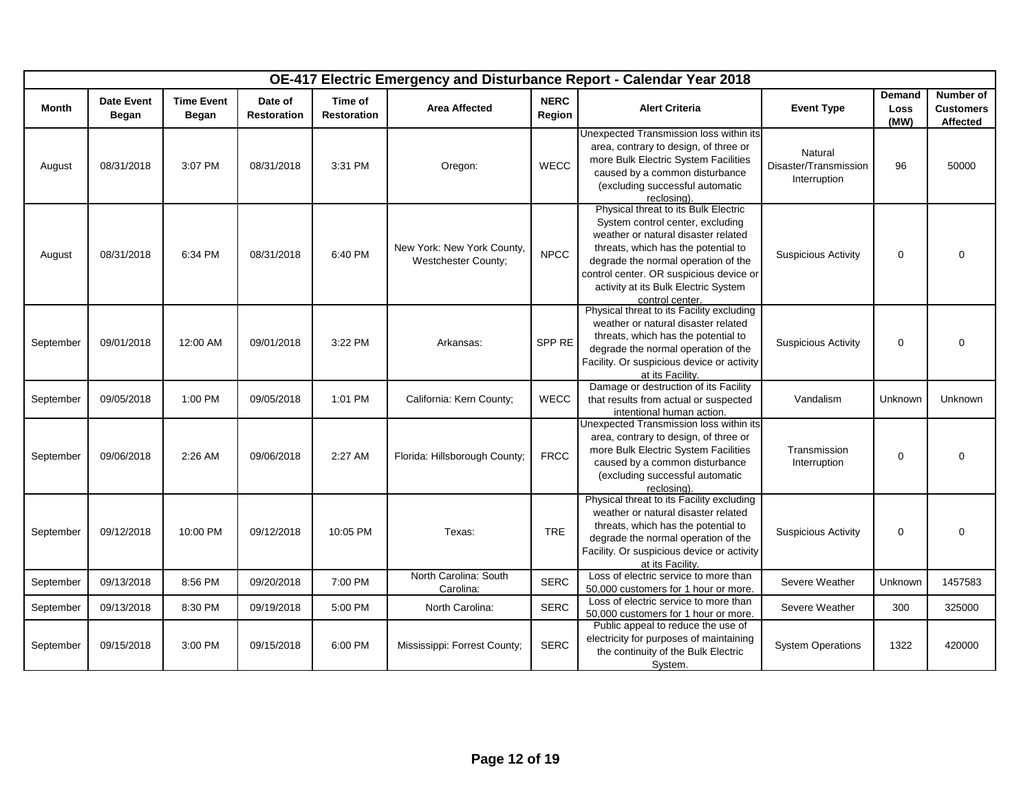|           |                            |                                   |                               |                               |                                                   |                       | OE-417 Electric Emergency and Disturbance Report - Calendar Year 2018                                                                                                                                                                                                                               |                                                  |                               |                                           |
|-----------|----------------------------|-----------------------------------|-------------------------------|-------------------------------|---------------------------------------------------|-----------------------|-----------------------------------------------------------------------------------------------------------------------------------------------------------------------------------------------------------------------------------------------------------------------------------------------------|--------------------------------------------------|-------------------------------|-------------------------------------------|
| Month     | <b>Date Event</b><br>Began | <b>Time Event</b><br><b>Began</b> | Date of<br><b>Restoration</b> | Time of<br><b>Restoration</b> | <b>Area Affected</b>                              | <b>NERC</b><br>Region | <b>Alert Criteria</b>                                                                                                                                                                                                                                                                               | <b>Event Type</b>                                | <b>Demand</b><br>Loss<br>(MW) | Number of<br><b>Customers</b><br>Affected |
| August    | 08/31/2018                 | 3:07 PM                           | 08/31/2018                    | 3:31 PM                       | Oregon:                                           | WECC                  | Unexpected Transmission loss within its<br>area, contrary to design, of three or<br>more Bulk Electric System Facilities<br>caused by a common disturbance<br>(excluding successful automatic<br>reclosing).                                                                                        | Natural<br>Disaster/Transmission<br>Interruption | 96                            | 50000                                     |
| August    | 08/31/2018                 | 6:34 PM                           | 08/31/2018                    | 6:40 PM                       | New York: New York County,<br>Westchester County; | <b>NPCC</b>           | Physical threat to its Bulk Electric<br>System control center, excluding<br>weather or natural disaster related<br>threats, which has the potential to<br>degrade the normal operation of the<br>control center. OR suspicious device or<br>activity at its Bulk Electric System<br>control center. | <b>Suspicious Activity</b>                       | $\mathbf 0$                   | $\Omega$                                  |
| September | 09/01/2018                 | 12:00 AM                          | 09/01/2018                    | 3:22 PM                       | Arkansas:                                         | SPP RE                | Physical threat to its Facility excluding<br>weather or natural disaster related<br>threats, which has the potential to<br>degrade the normal operation of the<br>Facility. Or suspicious device or activity<br>at its Facility.                                                                    | <b>Suspicious Activity</b>                       | $\mathbf 0$                   | $\Omega$                                  |
| September | 09/05/2018                 | 1:00 PM                           | 09/05/2018                    | 1:01 PM                       | California: Kern County;                          | <b>WECC</b>           | Damage or destruction of its Facility<br>that results from actual or suspected<br>intentional human action.                                                                                                                                                                                         | Vandalism                                        | Unknown                       | <b>Unknown</b>                            |
| September | 09/06/2018                 | 2:26 AM                           | 09/06/2018                    | 2:27 AM                       | Florida: Hillsborough County;                     | <b>FRCC</b>           | Unexpected Transmission loss within its<br>area, contrary to design, of three or<br>more Bulk Electric System Facilities<br>caused by a common disturbance<br>(excluding successful automatic<br>reclosing).                                                                                        | Transmission<br>Interruption                     | $\mathbf 0$                   | $\Omega$                                  |
| September | 09/12/2018                 | 10:00 PM                          | 09/12/2018                    | 10:05 PM                      | Texas:                                            | <b>TRE</b>            | Physical threat to its Facility excluding<br>weather or natural disaster related<br>threats, which has the potential to<br>degrade the normal operation of the<br>Facility. Or suspicious device or activity<br>at its Facility.                                                                    | <b>Suspicious Activity</b>                       | $\mathbf 0$                   | $\Omega$                                  |
| September | 09/13/2018                 | 8:56 PM                           | 09/20/2018                    | 7:00 PM                       | North Carolina: South<br>Carolina:                | <b>SERC</b>           | Loss of electric service to more than<br>50,000 customers for 1 hour or more.                                                                                                                                                                                                                       | Severe Weather                                   | Unknown                       | 1457583                                   |
| September | 09/13/2018                 | 8:30 PM                           | 09/19/2018                    | 5:00 PM                       | North Carolina:                                   | <b>SERC</b>           | Loss of electric service to more than<br>50,000 customers for 1 hour or more.                                                                                                                                                                                                                       | Severe Weather                                   | 300                           | 325000                                    |
| September | 09/15/2018                 | 3:00 PM                           | 09/15/2018                    | 6:00 PM                       | Mississippi: Forrest County;                      | <b>SERC</b>           | Public appeal to reduce the use of<br>electricity for purposes of maintaining<br>the continuity of the Bulk Electric<br>System.                                                                                                                                                                     | <b>System Operations</b>                         | 1322                          | 420000                                    |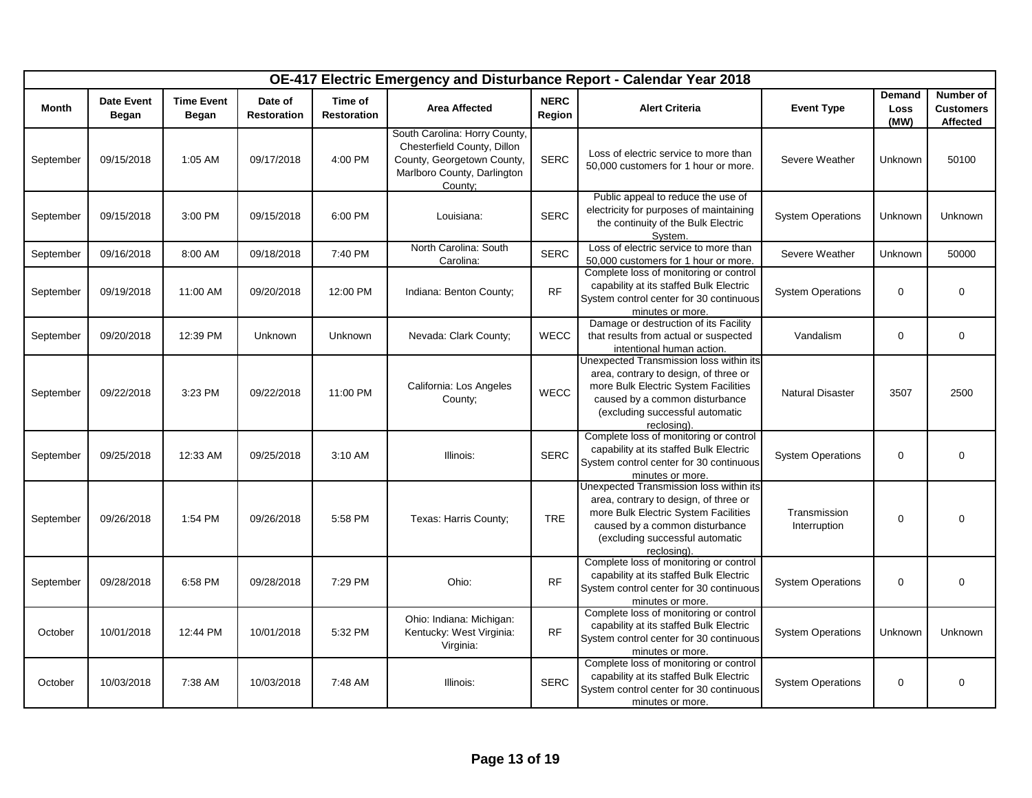|              |                                   |                                   |                               |                               |                                                                                                                                      |                       | OE-417 Electric Emergency and Disturbance Report - Calendar Year 2018                                                                                                                                        |                              |                        |                                                  |
|--------------|-----------------------------------|-----------------------------------|-------------------------------|-------------------------------|--------------------------------------------------------------------------------------------------------------------------------------|-----------------------|--------------------------------------------------------------------------------------------------------------------------------------------------------------------------------------------------------------|------------------------------|------------------------|--------------------------------------------------|
| <b>Month</b> | <b>Date Event</b><br><b>Began</b> | <b>Time Event</b><br><b>Began</b> | Date of<br><b>Restoration</b> | Time of<br><b>Restoration</b> | <b>Area Affected</b>                                                                                                                 | <b>NERC</b><br>Region | <b>Alert Criteria</b>                                                                                                                                                                                        | <b>Event Type</b>            | Demand<br>Loss<br>(MW) | Number of<br><b>Customers</b><br><b>Affected</b> |
| September    | 09/15/2018                        | 1:05 AM                           | 09/17/2018                    | 4:00 PM                       | South Carolina: Horry County,<br>Chesterfield County, Dillon<br>County, Georgetown County,<br>Marlboro County, Darlington<br>County; | <b>SERC</b>           | Loss of electric service to more than<br>50,000 customers for 1 hour or more.                                                                                                                                | Severe Weather               | Unknown                | 50100                                            |
| September    | 09/15/2018                        | 3:00 PM                           | 09/15/2018                    | 6:00 PM                       | Louisiana:                                                                                                                           | <b>SERC</b>           | Public appeal to reduce the use of<br>electricity for purposes of maintaining<br>the continuity of the Bulk Electric<br>System.                                                                              | <b>System Operations</b>     | Unknown                | <b>Unknown</b>                                   |
| September    | 09/16/2018                        | 8:00 AM                           | 09/18/2018                    | 7:40 PM                       | North Carolina: South<br>Carolina:                                                                                                   | <b>SERC</b>           | Loss of electric service to more than<br>50,000 customers for 1 hour or more.                                                                                                                                | Severe Weather               | Unknown                | 50000                                            |
| September    | 09/19/2018                        | 11:00 AM                          | 09/20/2018                    | 12:00 PM                      | Indiana: Benton County;                                                                                                              | RF                    | Complete loss of monitoring or control<br>capability at its staffed Bulk Electric<br>System control center for 30 continuous<br>minutes or more.                                                             | <b>System Operations</b>     | $\pmb{0}$              | $\boldsymbol{0}$                                 |
| September    | 09/20/2018                        | 12:39 PM                          | Unknown                       | Unknown                       | Nevada: Clark County;                                                                                                                | <b>WECC</b>           | Damage or destruction of its Facility<br>that results from actual or suspected<br>intentional human action.                                                                                                  | Vandalism                    | $\mathbf 0$            | $\mathbf 0$                                      |
| September    | 09/22/2018                        | 3:23 PM                           | 09/22/2018                    | 11:00 PM                      | California: Los Angeles<br>County;                                                                                                   | WECC                  | Unexpected Transmission loss within its<br>area, contrary to design, of three or<br>more Bulk Electric System Facilities<br>caused by a common disturbance<br>(excluding successful automatic<br>reclosing)  | <b>Natural Disaster</b>      | 3507                   | 2500                                             |
| September    | 09/25/2018                        | 12:33 AM                          | 09/25/2018                    | 3:10 AM                       | Illinois:                                                                                                                            | <b>SERC</b>           | Complete loss of monitoring or control<br>capability at its staffed Bulk Electric<br>System control center for 30 continuous<br>minutes or more.                                                             | <b>System Operations</b>     | $\mathbf 0$            | $\mathbf 0$                                      |
| September    | 09/26/2018                        | 1:54 PM                           | 09/26/2018                    | 5:58 PM                       | Texas: Harris County;                                                                                                                | <b>TRE</b>            | Unexpected Transmission loss within its<br>area, contrary to design, of three or<br>more Bulk Electric System Facilities<br>caused by a common disturbance<br>(excluding successful automatic<br>reclosing). | Transmission<br>Interruption | $\mathbf 0$            | $\mathbf 0$                                      |
| September    | 09/28/2018                        | 6:58 PM                           | 09/28/2018                    | 7:29 PM                       | Ohio:                                                                                                                                | <b>RF</b>             | Complete loss of monitoring or control<br>capability at its staffed Bulk Electric<br>System control center for 30 continuous<br>minutes or more.                                                             | <b>System Operations</b>     | $\mathbf 0$            | $\mathbf 0$                                      |
| October      | 10/01/2018                        | 12:44 PM                          | 10/01/2018                    | 5:32 PM                       | Ohio: Indiana: Michigan:<br>Kentucky: West Virginia:<br>Virginia:                                                                    | <b>RF</b>             | Complete loss of monitoring or control<br>capability at its staffed Bulk Electric<br>System control center for 30 continuous<br>minutes or more.                                                             | <b>System Operations</b>     | Unknown                | <b>Unknown</b>                                   |
| October      | 10/03/2018                        | 7:38 AM                           | 10/03/2018                    | 7:48 AM                       | Illinois:                                                                                                                            | <b>SERC</b>           | Complete loss of monitoring or control<br>capability at its staffed Bulk Electric<br>System control center for 30 continuous<br>minutes or more.                                                             | <b>System Operations</b>     | $\mathbf 0$            | $\mathbf 0$                                      |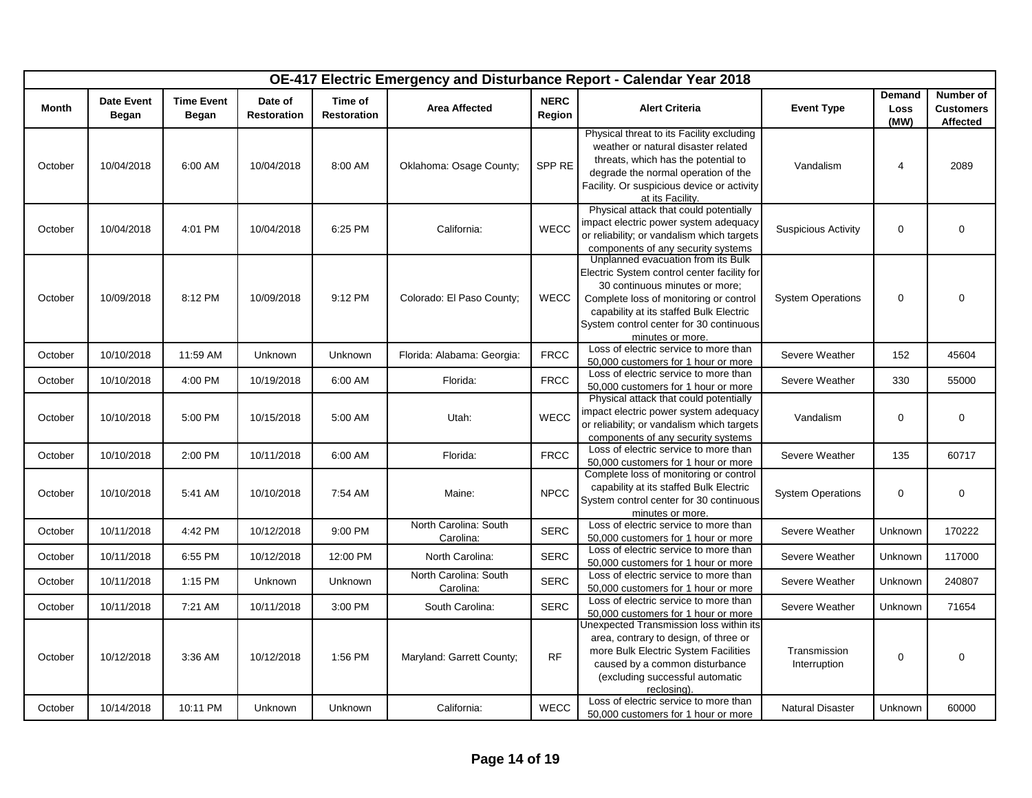|         |                            |                            |                               |                               |                                    |                       | OE-417 Electric Emergency and Disturbance Report - Calendar Year 2018                                                                                                                                                                                                   |                              |                        |                                           |
|---------|----------------------------|----------------------------|-------------------------------|-------------------------------|------------------------------------|-----------------------|-------------------------------------------------------------------------------------------------------------------------------------------------------------------------------------------------------------------------------------------------------------------------|------------------------------|------------------------|-------------------------------------------|
| Month   | <b>Date Event</b><br>Began | <b>Time Event</b><br>Began | Date of<br><b>Restoration</b> | Time of<br><b>Restoration</b> | <b>Area Affected</b>               | <b>NERC</b><br>Region | <b>Alert Criteria</b>                                                                                                                                                                                                                                                   | <b>Event Type</b>            | Demand<br>Loss<br>(MW) | Number of<br><b>Customers</b><br>Affected |
| October | 10/04/2018                 | 6:00 AM                    | 10/04/2018                    | 8:00 AM                       | Oklahoma: Osage County;            | SPP RE                | Physical threat to its Facility excluding<br>weather or natural disaster related<br>threats, which has the potential to<br>degrade the normal operation of the<br>Facility. Or suspicious device or activity<br>at its Facility.                                        | Vandalism                    | 4                      | 2089                                      |
| October | 10/04/2018                 | 4:01 PM                    | 10/04/2018                    | 6:25 PM                       | California:                        | WECC                  | Physical attack that could potentially<br>impact electric power system adequacy<br>or reliability; or vandalism which targets<br>components of any security systems                                                                                                     | <b>Suspicious Activity</b>   | $\pmb{0}$              | $\pmb{0}$                                 |
| October | 10/09/2018                 | 8:12 PM                    | 10/09/2018                    | 9:12 PM                       | Colorado: El Paso County;          | WECC                  | Unplanned evacuation from its Bulk<br>Electric System control center facility for<br>30 continuous minutes or more;<br>Complete loss of monitoring or control<br>capability at its staffed Bulk Electric<br>System control center for 30 continuous<br>minutes or more. | <b>System Operations</b>     | $\pmb{0}$              | $\pmb{0}$                                 |
| October | 10/10/2018                 | 11:59 AM                   | Unknown                       | Unknown                       | Florida: Alabama: Georgia:         | <b>FRCC</b>           | Loss of electric service to more than<br>50,000 customers for 1 hour or more                                                                                                                                                                                            | Severe Weather               | 152                    | 45604                                     |
| October | 10/10/2018                 | 4:00 PM                    | 10/19/2018                    | 6:00 AM                       | Florida:                           | <b>FRCC</b>           | Loss of electric service to more than<br>50,000 customers for 1 hour or more                                                                                                                                                                                            | Severe Weather               | 330                    | 55000                                     |
| October | 10/10/2018                 | 5:00 PM                    | 10/15/2018                    | 5:00 AM                       | Utah:                              | WECC                  | Physical attack that could potentially<br>impact electric power system adequacy<br>or reliability; or vandalism which targets<br>components of any security systems                                                                                                     | Vandalism                    | $\mathbf 0$            | 0                                         |
| October | 10/10/2018                 | 2:00 PM                    | 10/11/2018                    | 6:00 AM                       | Florida:                           | <b>FRCC</b>           | Loss of electric service to more than<br>50,000 customers for 1 hour or more                                                                                                                                                                                            | Severe Weather               | 135                    | 60717                                     |
| October | 10/10/2018                 | 5:41 AM                    | 10/10/2018                    | 7:54 AM                       | Maine:                             | <b>NPCC</b>           | Complete loss of monitoring or control<br>capability at its staffed Bulk Electric<br>System control center for 30 continuous<br>minutes or more.                                                                                                                        | <b>System Operations</b>     | $\mathsf{O}\xspace$    | $\pmb{0}$                                 |
| October | 10/11/2018                 | 4:42 PM                    | 10/12/2018                    | 9:00 PM                       | North Carolina: South<br>Carolina: | <b>SERC</b>           | Loss of electric service to more than<br>50,000 customers for 1 hour or more                                                                                                                                                                                            | Severe Weather               | Unknown                | 170222                                    |
| October | 10/11/2018                 | 6:55 PM                    | 10/12/2018                    | 12:00 PM                      | North Carolina:                    | <b>SERC</b>           | Loss of electric service to more than<br>50,000 customers for 1 hour or more                                                                                                                                                                                            | Severe Weather               | Unknown                | 117000                                    |
| October | 10/11/2018                 | 1:15 PM                    | Unknown                       | Unknown                       | North Carolina: South<br>Carolina: | <b>SERC</b>           | Loss of electric service to more than<br>50,000 customers for 1 hour or more                                                                                                                                                                                            | Severe Weather               | Unknown                | 240807                                    |
| October | 10/11/2018                 | 7:21 AM                    | 10/11/2018                    | 3:00 PM                       | South Carolina:                    | <b>SERC</b>           | Loss of electric service to more than<br>50,000 customers for 1 hour or more                                                                                                                                                                                            | Severe Weather               | Unknown                | 71654                                     |
| October | 10/12/2018                 | 3:36 AM                    | 10/12/2018                    | 1:56 PM                       | Maryland: Garrett County;          | <b>RF</b>             | Jnexpected Transmission loss within its<br>area, contrary to design, of three or<br>more Bulk Electric System Facilities<br>caused by a common disturbance<br>(excluding successful automatic<br>reclosing).<br>Loss of electric service to more than                   | Transmission<br>Interruption | $\pmb{0}$              | $\pmb{0}$                                 |
| October | 10/14/2018                 | 10:11 PM                   | Unknown                       | Unknown                       | California:                        | <b>WECC</b>           | 50,000 customers for 1 hour or more                                                                                                                                                                                                                                     | <b>Natural Disaster</b>      | Unknown                | 60000                                     |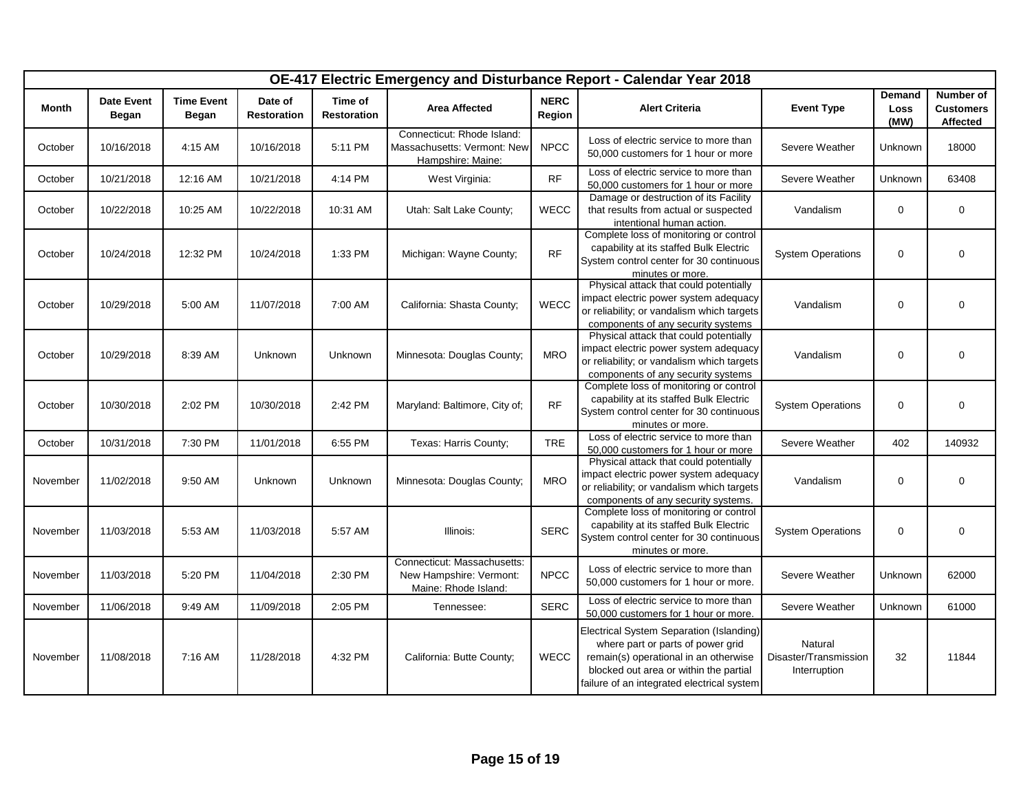|              |                                   |                                   |                               |                               |                                                                                |                       | OE-417 Electric Emergency and Disturbance Report - Calendar Year 2018                                                                                                                                          |                                                  |                        |                                           |
|--------------|-----------------------------------|-----------------------------------|-------------------------------|-------------------------------|--------------------------------------------------------------------------------|-----------------------|----------------------------------------------------------------------------------------------------------------------------------------------------------------------------------------------------------------|--------------------------------------------------|------------------------|-------------------------------------------|
| <b>Month</b> | <b>Date Event</b><br><b>Began</b> | <b>Time Event</b><br><b>Began</b> | Date of<br><b>Restoration</b> | Time of<br><b>Restoration</b> | <b>Area Affected</b>                                                           | <b>NERC</b><br>Region | <b>Alert Criteria</b>                                                                                                                                                                                          | <b>Event Type</b>                                | Demand<br>Loss<br>(MW) | Number of<br><b>Customers</b><br>Affected |
| October      | 10/16/2018                        | 4:15 AM                           | 10/16/2018                    | 5:11 PM                       | Connecticut: Rhode Island:<br>Massachusetts: Vermont: New<br>Hampshire: Maine: | <b>NPCC</b>           | Loss of electric service to more than<br>50,000 customers for 1 hour or more                                                                                                                                   | Severe Weather                                   | Unknown                | 18000                                     |
| October      | 10/21/2018                        | 12:16 AM                          | 10/21/2018                    | 4:14 PM                       | West Virginia:                                                                 | <b>RF</b>             | Loss of electric service to more than<br>50,000 customers for 1 hour or more                                                                                                                                   | Severe Weather                                   | Unknown                | 63408                                     |
| October      | 10/22/2018                        | 10:25 AM                          | 10/22/2018                    | 10:31 AM                      | Utah: Salt Lake County;                                                        | WECC                  | Damage or destruction of its Facility<br>that results from actual or suspected<br>intentional human action.                                                                                                    | Vandalism                                        | $\mathbf{0}$           | $\mathbf 0$                               |
| October      | 10/24/2018                        | 12:32 PM                          | 10/24/2018                    | 1:33 PM                       | Michigan: Wayne County;                                                        | <b>RF</b>             | Complete loss of monitoring or control<br>capability at its staffed Bulk Electric<br>System control center for 30 continuous<br>minutes or more.                                                               | <b>System Operations</b>                         | $\mathbf 0$            | $\mathbf 0$                               |
| October      | 10/29/2018                        | 5:00 AM                           | 11/07/2018                    | 7:00 AM                       | California: Shasta County;                                                     | <b>WECC</b>           | Physical attack that could potentially<br>impact electric power system adequacy<br>or reliability; or vandalism which targets<br>components of any security systems                                            | Vandalism                                        | $\mathbf 0$            | $\mathbf 0$                               |
| October      | 10/29/2018                        | 8:39 AM                           | Unknown                       | Unknown                       | Minnesota: Douglas County;                                                     | <b>MRO</b>            | Physical attack that could potentially<br>impact electric power system adequacy<br>or reliability; or vandalism which targets<br>components of any security systems                                            | Vandalism                                        | $\mathbf 0$            | $\mathbf 0$                               |
| October      | 10/30/2018                        | 2:02 PM                           | 10/30/2018                    | 2:42 PM                       | Maryland: Baltimore, City of;                                                  | <b>RF</b>             | Complete loss of monitoring or control<br>capability at its staffed Bulk Electric<br>System control center for 30 continuous<br>minutes or more.                                                               | <b>System Operations</b>                         | $\mathbf 0$            | $\mathbf 0$                               |
| October      | 10/31/2018                        | 7:30 PM                           | 11/01/2018                    | 6:55 PM                       | Texas: Harris County;                                                          | <b>TRE</b>            | Loss of electric service to more than<br>50,000 customers for 1 hour or more                                                                                                                                   | Severe Weather                                   | 402                    | 140932                                    |
| November     | 11/02/2018                        | 9:50 AM                           | Unknown                       | Unknown                       | Minnesota: Douglas County;                                                     | <b>MRO</b>            | Physical attack that could potentially<br>impact electric power system adequacy<br>or reliability; or vandalism which targets<br>components of any security systems.                                           | Vandalism                                        | $\mathbf 0$            | $\mathbf 0$                               |
| November     | 11/03/2018                        | 5:53 AM                           | 11/03/2018                    | 5:57 AM                       | Illinois:                                                                      | <b>SERC</b>           | Complete loss of monitoring or control<br>capability at its staffed Bulk Electric<br>System control center for 30 continuous<br>minutes or more.                                                               | <b>System Operations</b>                         | $\mathbf 0$            | $\Omega$                                  |
| November     | 11/03/2018                        | 5:20 PM                           | 11/04/2018                    | 2:30 PM                       | Connecticut: Massachusetts:<br>New Hampshire: Vermont:<br>Maine: Rhode Island: | <b>NPCC</b>           | Loss of electric service to more than<br>50,000 customers for 1 hour or more.                                                                                                                                  | Severe Weather                                   | Unknown                | 62000                                     |
| November     | 11/06/2018                        | 9:49 AM                           | 11/09/2018                    | 2:05 PM                       | Tennessee:                                                                     | <b>SERC</b>           | Loss of electric service to more than<br>50,000 customers for 1 hour or more.                                                                                                                                  | Severe Weather                                   | Unknown                | 61000                                     |
| November     | 11/08/2018                        | 7:16 AM                           | 11/28/2018                    | 4:32 PM                       | California: Butte County;                                                      | <b>WECC</b>           | Electrical System Separation (Islanding)<br>where part or parts of power grid<br>remain(s) operational in an otherwise<br>blocked out area or within the partial<br>failure of an integrated electrical system | Natural<br>Disaster/Transmission<br>Interruption | 32                     | 11844                                     |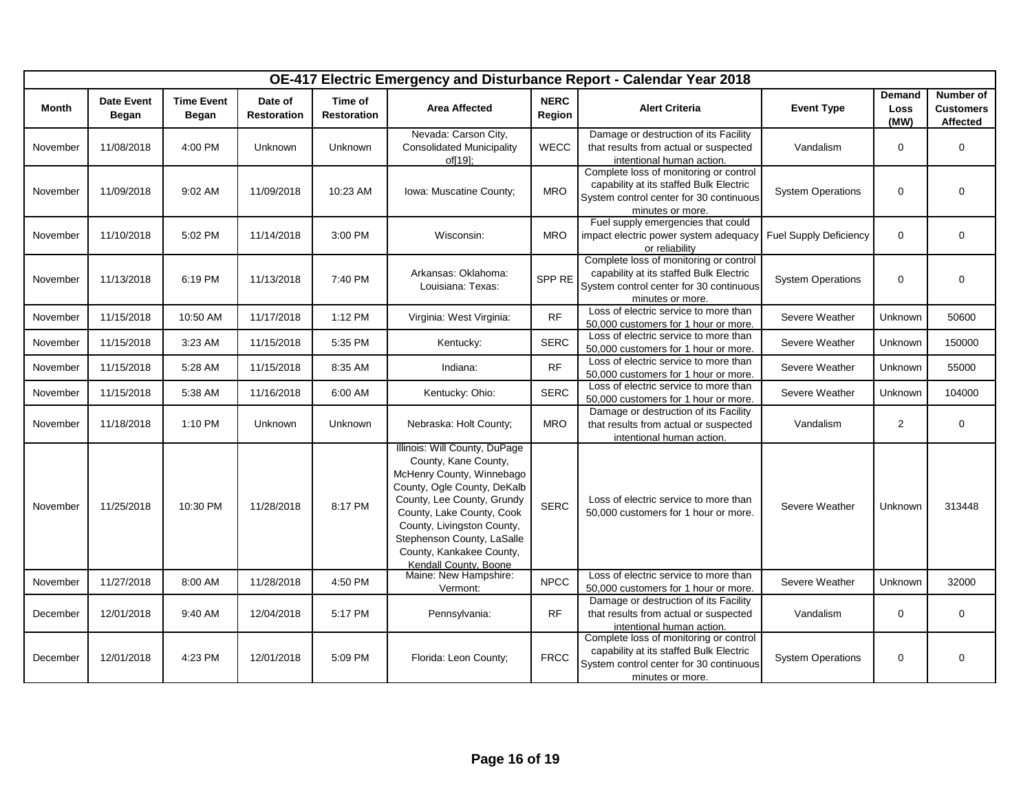|          |                                   |                                   |                               |                               |                                                                                                                                                                                                                                                                                               |                       | OE-417 Electric Emergency and Disturbance Report - Calendar Year 2018                                                                            |                               |                        |                                                  |
|----------|-----------------------------------|-----------------------------------|-------------------------------|-------------------------------|-----------------------------------------------------------------------------------------------------------------------------------------------------------------------------------------------------------------------------------------------------------------------------------------------|-----------------------|--------------------------------------------------------------------------------------------------------------------------------------------------|-------------------------------|------------------------|--------------------------------------------------|
| Month    | <b>Date Event</b><br><b>Began</b> | <b>Time Event</b><br><b>Began</b> | Date of<br><b>Restoration</b> | Time of<br><b>Restoration</b> | <b>Area Affected</b>                                                                                                                                                                                                                                                                          | <b>NERC</b><br>Region | <b>Alert Criteria</b>                                                                                                                            | <b>Event Type</b>             | Demand<br>Loss<br>(MW) | Number of<br><b>Customers</b><br><b>Affected</b> |
| November | 11/08/2018                        | 4:00 PM                           | Unknown                       | Unknown                       | Nevada: Carson City,<br><b>Consolidated Municipality</b><br>of[19];                                                                                                                                                                                                                           | <b>WECC</b>           | Damage or destruction of its Facility<br>that results from actual or suspected<br>intentional human action.                                      | Vandalism                     | $\mathbf 0$            | 0                                                |
| November | 11/09/2018                        | 9:02 AM                           | 11/09/2018                    | 10:23 AM                      | Iowa: Muscatine County;                                                                                                                                                                                                                                                                       | <b>MRO</b>            | Complete loss of monitoring or control<br>capability at its staffed Bulk Electric<br>System control center for 30 continuous<br>minutes or more. | <b>System Operations</b>      | $\mathbf 0$            | 0                                                |
| November | 11/10/2018                        | 5:02 PM                           | 11/14/2018                    | 3:00 PM                       | Wisconsin:                                                                                                                                                                                                                                                                                    | <b>MRO</b>            | Fuel supply emergencies that could<br>impact electric power system adequacy<br>or reliability                                                    | <b>Fuel Supply Deficiency</b> | $\mathbf 0$            | 0                                                |
| November | 11/13/2018                        | 6:19 PM                           | 11/13/2018                    | 7:40 PM                       | Arkansas: Oklahoma:<br>Louisiana: Texas:                                                                                                                                                                                                                                                      | SPP RE                | Complete loss of monitoring or control<br>capability at its staffed Bulk Electric<br>System control center for 30 continuous<br>minutes or more. | <b>System Operations</b>      | $\mathbf 0$            | 0                                                |
| November | 11/15/2018                        | 10:50 AM                          | 11/17/2018                    | 1:12 PM                       | Virginia: West Virginia:                                                                                                                                                                                                                                                                      | RF                    | Loss of electric service to more than<br>50,000 customers for 1 hour or more.                                                                    | Severe Weather                | Unknown                | 50600                                            |
| November | 11/15/2018                        | 3:23 AM                           | 11/15/2018                    | 5:35 PM                       | Kentucky:                                                                                                                                                                                                                                                                                     | <b>SERC</b>           | Loss of electric service to more than<br>50,000 customers for 1 hour or more.                                                                    | Severe Weather                | Unknown                | 150000                                           |
| November | 11/15/2018                        | 5:28 AM                           | 11/15/2018                    | 8:35 AM                       | Indiana:                                                                                                                                                                                                                                                                                      | RF                    | Loss of electric service to more than<br>50,000 customers for 1 hour or more.                                                                    | Severe Weather                | Unknown                | 55000                                            |
| November | 11/15/2018                        | 5:38 AM                           | 11/16/2018                    | 6:00 AM                       | Kentucky: Ohio:                                                                                                                                                                                                                                                                               | <b>SERC</b>           | Loss of electric service to more than<br>50,000 customers for 1 hour or more.                                                                    | Severe Weather                | Unknown                | 104000                                           |
| November | 11/18/2018                        | 1:10 PM                           | Unknown                       | Unknown                       | Nebraska: Holt County;                                                                                                                                                                                                                                                                        | <b>MRO</b>            | Damage or destruction of its Facility<br>that results from actual or suspected<br>intentional human action.                                      | Vandalism                     | $\overline{2}$         | 0                                                |
| November | 11/25/2018                        | 10:30 PM                          | 11/28/2018                    | 8:17 PM                       | Illinois: Will County, DuPage<br>County, Kane County,<br>McHenry County, Winnebago<br>County, Ogle County, DeKalb<br>County, Lee County, Grundy<br>County, Lake County, Cook<br>County, Livingston County,<br>Stephenson County, LaSalle<br>County, Kankakee County,<br>Kendall County, Boone | <b>SERC</b>           | Loss of electric service to more than<br>50,000 customers for 1 hour or more.                                                                    | Severe Weather                | Unknown                | 313448                                           |
| November | 11/27/2018                        | 8:00 AM                           | 11/28/2018                    | 4:50 PM                       | Maine: New Hampshire:<br>Vermont:                                                                                                                                                                                                                                                             | <b>NPCC</b>           | Loss of electric service to more than<br>50,000 customers for 1 hour or more.                                                                    | Severe Weather                | Unknown                | 32000                                            |
| December | 12/01/2018                        | 9:40 AM                           | 12/04/2018                    | 5:17 PM                       | Pennsylvania:                                                                                                                                                                                                                                                                                 | <b>RF</b>             | Damage or destruction of its Facility<br>that results from actual or suspected<br>intentional human action.                                      | Vandalism                     | $\mathbf 0$            | 0                                                |
| December | 12/01/2018                        | 4:23 PM                           | 12/01/2018                    | 5:09 PM                       | Florida: Leon County;                                                                                                                                                                                                                                                                         | <b>FRCC</b>           | Complete loss of monitoring or control<br>capability at its staffed Bulk Electric<br>System control center for 30 continuous<br>minutes or more. | <b>System Operations</b>      | $\mathbf 0$            | 0                                                |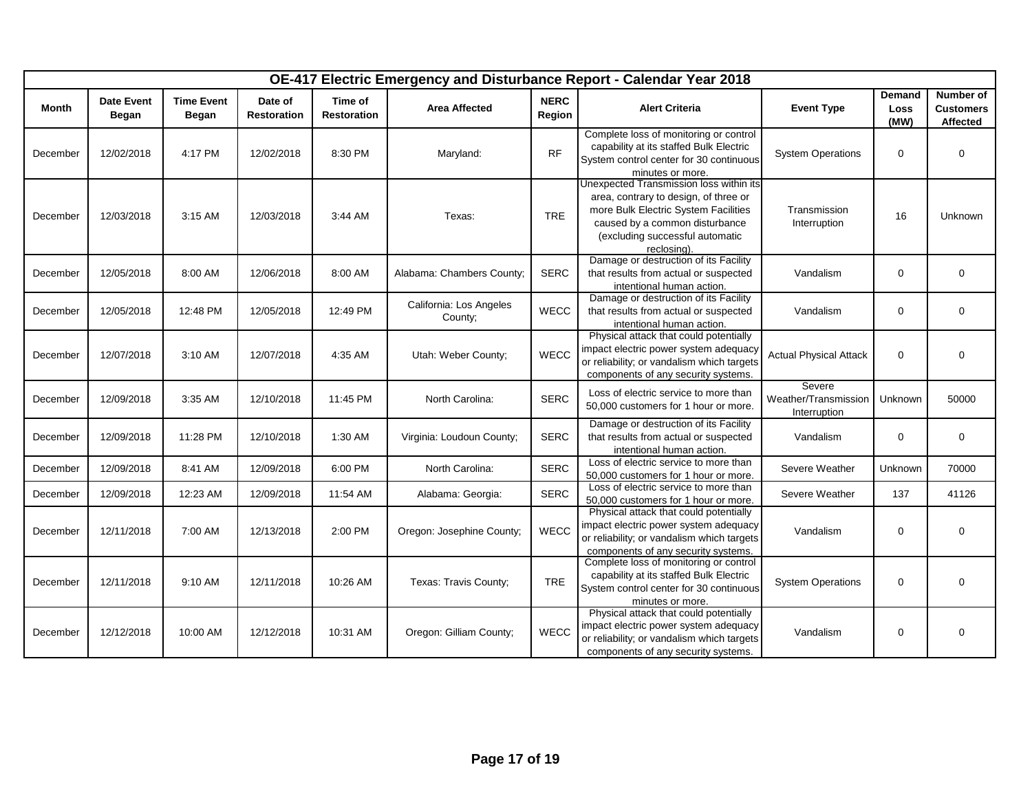|              |                            |                            |                               |                               |                                    |                       | OE-417 Electric Emergency and Disturbance Report - Calendar Year 2018                                                                                                                                        |                                                |                        |                                           |
|--------------|----------------------------|----------------------------|-------------------------------|-------------------------------|------------------------------------|-----------------------|--------------------------------------------------------------------------------------------------------------------------------------------------------------------------------------------------------------|------------------------------------------------|------------------------|-------------------------------------------|
| <b>Month</b> | <b>Date Event</b><br>Began | <b>Time Event</b><br>Began | Date of<br><b>Restoration</b> | Time of<br><b>Restoration</b> | <b>Area Affected</b>               | <b>NERC</b><br>Region | <b>Alert Criteria</b>                                                                                                                                                                                        | <b>Event Type</b>                              | Demand<br>Loss<br>(MW) | Number of<br><b>Customers</b><br>Affected |
| December     | 12/02/2018                 | 4:17 PM                    | 12/02/2018                    | 8:30 PM                       | Maryland:                          | <b>RF</b>             | Complete loss of monitoring or control<br>capability at its staffed Bulk Electric<br>System control center for 30 continuous<br>minutes or more.                                                             | <b>System Operations</b>                       | $\mathbf 0$            | 0                                         |
| December     | 12/03/2018                 | 3:15 AM                    | 12/03/2018                    | 3:44 AM                       | Texas:                             | <b>TRE</b>            | Unexpected Transmission loss within its<br>area, contrary to design, of three or<br>more Bulk Electric System Facilities<br>caused by a common disturbance<br>(excluding successful automatic<br>reclosing). | Transmission<br>Interruption                   | 16                     | Unknown                                   |
| December     | 12/05/2018                 | 8:00 AM                    | 12/06/2018                    | 8:00 AM                       | Alabama: Chambers County;          | <b>SERC</b>           | Damage or destruction of its Facility<br>that results from actual or suspected<br>intentional human action.                                                                                                  | Vandalism                                      | $\mathbf{0}$           | 0                                         |
| December     | 12/05/2018                 | 12:48 PM                   | 12/05/2018                    | 12:49 PM                      | California: Los Angeles<br>County; | WECC                  | Damage or destruction of its Facility<br>that results from actual or suspected<br>intentional human action.                                                                                                  | Vandalism                                      | $\mathbf 0$            | 0                                         |
| December     | 12/07/2018                 | 3:10 AM                    | 12/07/2018                    | 4:35 AM                       | Utah: Weber County;                | WECC                  | Physical attack that could potentially<br>impact electric power system adequacy<br>or reliability; or vandalism which targets<br>components of any security systems.                                         | <b>Actual Physical Attack</b>                  | $\mathbf 0$            | 0                                         |
| December     | 12/09/2018                 | 3:35 AM                    | 12/10/2018                    | 11:45 PM                      | North Carolina:                    | <b>SERC</b>           | Loss of electric service to more than<br>50,000 customers for 1 hour or more.                                                                                                                                | Severe<br>Weather/Transmission<br>Interruption | Unknown                | 50000                                     |
| December     | 12/09/2018                 | 11:28 PM                   | 12/10/2018                    | 1:30 AM                       | Virginia: Loudoun County;          | <b>SERC</b>           | Damage or destruction of its Facility<br>that results from actual or suspected<br>intentional human action.                                                                                                  | Vandalism                                      | $\mathbf 0$            | 0                                         |
| December     | 12/09/2018                 | 8:41 AM                    | 12/09/2018                    | 6:00 PM                       | North Carolina:                    | <b>SERC</b>           | Loss of electric service to more than<br>50,000 customers for 1 hour or more.                                                                                                                                | Severe Weather                                 | Unknown                | 70000                                     |
| December     | 12/09/2018                 | 12:23 AM                   | 12/09/2018                    | 11:54 AM                      | Alabama: Georgia:                  | <b>SERC</b>           | Loss of electric service to more than<br>50,000 customers for 1 hour or more.                                                                                                                                | Severe Weather                                 | 137                    | 41126                                     |
| December     | 12/11/2018                 | 7:00 AM                    | 12/13/2018                    | 2:00 PM                       | Oregon: Josephine County;          | <b>WECC</b>           | Physical attack that could potentially<br>impact electric power system adequacy<br>or reliability; or vandalism which targets<br>components of any security systems.                                         | Vandalism                                      | $\mathbf 0$            | 0                                         |
| December     | 12/11/2018                 | 9:10 AM                    | 12/11/2018                    | 10:26 AM                      | Texas: Travis County;              | <b>TRE</b>            | Complete loss of monitoring or control<br>capability at its staffed Bulk Electric<br>System control center for 30 continuous<br>minutes or more.                                                             | <b>System Operations</b>                       | $\mathbf 0$            | 0                                         |
| December     | 12/12/2018                 | 10:00 AM                   | 12/12/2018                    | 10:31 AM                      | Oregon: Gilliam County;            | WECC                  | Physical attack that could potentially<br>impact electric power system adequacy<br>or reliability; or vandalism which targets<br>components of any security systems.                                         | Vandalism                                      | $\mathbf 0$            | 0                                         |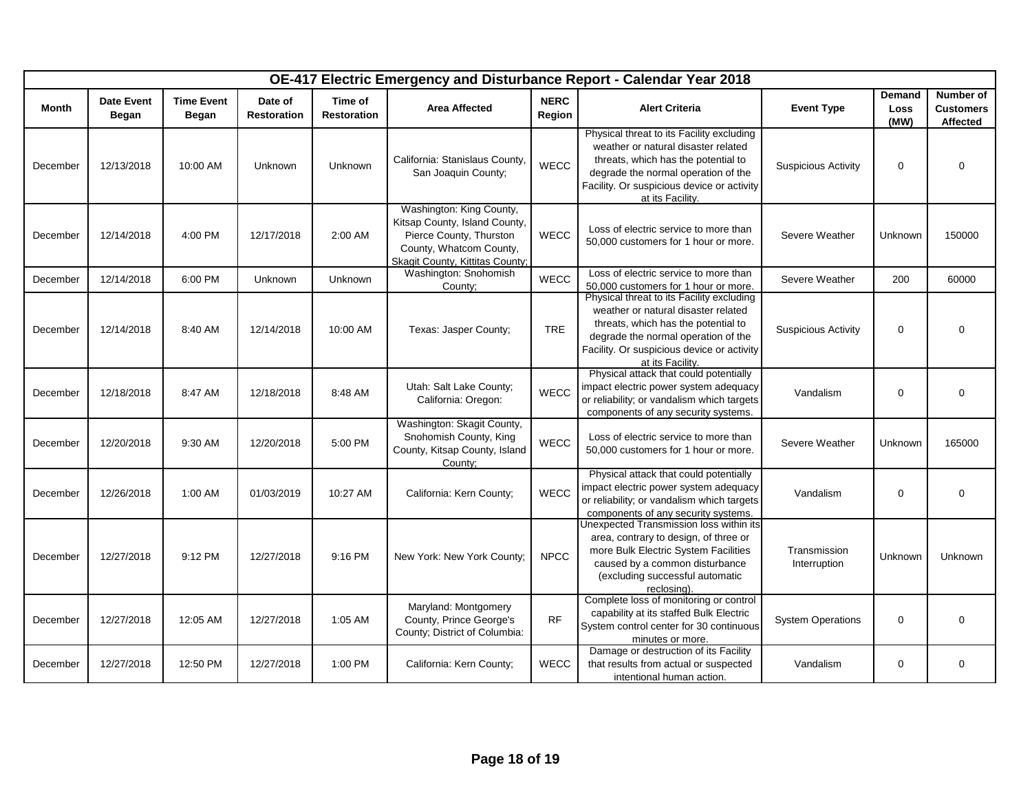|          |                                   |                                   |                               |                               |                                                                                                                                                    |                       | OE-417 Electric Emergency and Disturbance Report - Calendar Year 2018                                                                                                                                                            |                              |                        |                                                  |
|----------|-----------------------------------|-----------------------------------|-------------------------------|-------------------------------|----------------------------------------------------------------------------------------------------------------------------------------------------|-----------------------|----------------------------------------------------------------------------------------------------------------------------------------------------------------------------------------------------------------------------------|------------------------------|------------------------|--------------------------------------------------|
| Month    | <b>Date Event</b><br><b>Began</b> | <b>Time Event</b><br><b>Began</b> | Date of<br><b>Restoration</b> | Time of<br><b>Restoration</b> | <b>Area Affected</b>                                                                                                                               | <b>NERC</b><br>Region | <b>Alert Criteria</b>                                                                                                                                                                                                            | <b>Event Type</b>            | Demand<br>Loss<br>(MW) | Number of<br><b>Customers</b><br><b>Affected</b> |
| December | 12/13/2018                        | 10:00 AM                          | Unknown                       | Unknown                       | California: Stanislaus County,<br>San Joaquin County;                                                                                              | WECC                  | Physical threat to its Facility excluding<br>weather or natural disaster related<br>threats, which has the potential to<br>degrade the normal operation of the<br>Facility. Or suspicious device or activity<br>at its Facility. | <b>Suspicious Activity</b>   | $\mathbf 0$            | $\mathbf 0$                                      |
| December | 12/14/2018                        | 4:00 PM                           | 12/17/2018                    | 2:00 AM                       | Washington: King County,<br>Kitsap County, Island County,<br>Pierce County, Thurston<br>County, Whatcom County,<br>Skagit County, Kittitas County; | WECC                  | Loss of electric service to more than<br>50,000 customers for 1 hour or more.                                                                                                                                                    | Severe Weather               | Unknown                | 150000                                           |
| December | 12/14/2018                        | 6:00 PM                           | Unknown                       | Unknown                       | Washington: Snohomish<br>County;                                                                                                                   | WECC                  | Loss of electric service to more than<br>50,000 customers for 1 hour or more.                                                                                                                                                    | Severe Weather               | 200                    | 60000                                            |
| December | 12/14/2018                        | 8:40 AM                           | 12/14/2018                    | 10:00 AM                      | Texas: Jasper County;                                                                                                                              | <b>TRE</b>            | Physical threat to its Facility excluding<br>weather or natural disaster related<br>threats, which has the potential to<br>degrade the normal operation of the<br>Facility. Or suspicious device or activity<br>at its Facility. | <b>Suspicious Activity</b>   | $\mathbf 0$            | $\mathbf 0$                                      |
| December | 12/18/2018                        | 8:47 AM                           | 12/18/2018                    | 8:48 AM                       | Utah: Salt Lake County;<br>California: Oregon:                                                                                                     | <b>WECC</b>           | Physical attack that could potentially<br>impact electric power system adequacy<br>or reliability; or vandalism which targets<br>components of any security systems.                                                             | Vandalism                    | $\mathbf 0$            | $\mathbf 0$                                      |
| December | 12/20/2018                        | 9:30 AM                           | 12/20/2018                    | 5:00 PM                       | Washington: Skagit County,<br>Snohomish County, King<br>County, Kitsap County, Island<br>County;                                                   | WECC                  | Loss of electric service to more than<br>50,000 customers for 1 hour or more.                                                                                                                                                    | Severe Weather               | Unknown                | 165000                                           |
| December | 12/26/2018                        | 1:00 AM                           | 01/03/2019                    | 10:27 AM                      | California: Kern County;                                                                                                                           | <b>WECC</b>           | Physical attack that could potentially<br>impact electric power system adequacy<br>or reliability; or vandalism which targets<br>components of any security systems.                                                             | Vandalism                    | $\mathbf 0$            | $\mathbf 0$                                      |
| December | 12/27/2018                        | 9:12 PM                           | 12/27/2018                    | 9:16 PM                       | New York: New York County;                                                                                                                         | <b>NPCC</b>           | Unexpected Transmission loss within its<br>area, contrary to design, of three or<br>more Bulk Electric System Facilities<br>caused by a common disturbance<br>(excluding successful automatic<br>reclosing).                     | Transmission<br>Interruption | Unknown                | <b>Unknown</b>                                   |
| December | 12/27/2018                        | 12:05 AM                          | 12/27/2018                    | 1:05 AM                       | Maryland: Montgomery<br>County, Prince George's<br>County; District of Columbia:                                                                   | <b>RF</b>             | Complete loss of monitoring or control<br>capability at its staffed Bulk Electric<br>System control center for 30 continuous<br>minutes or more.                                                                                 | <b>System Operations</b>     | $\mathbf 0$            | $\mathbf 0$                                      |
| December | 12/27/2018                        | 12:50 PM                          | 12/27/2018                    | 1:00 PM                       | California: Kern County;                                                                                                                           | <b>WECC</b>           | Damage or destruction of its Facility<br>that results from actual or suspected<br>intentional human action.                                                                                                                      | Vandalism                    | $\mathbf 0$            | $\mathbf 0$                                      |